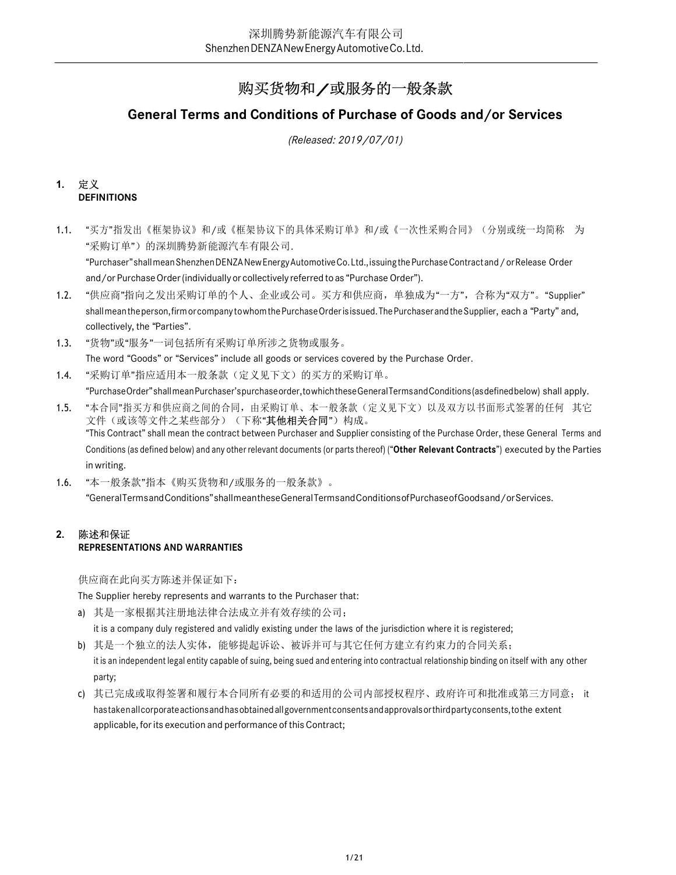# 购买货物和/或服务的一般条款

# General Terms and Conditions of Purchase of Goods and/or Services

(Released: 2019/07/01)

#### 1. 定义 **DEFINITIONS**

1.1. "买方"指发出《框架协议》和/或《框架协议下的具体采购订单》和/或《一次性采购合同》(分别或统一均简称 为 "采购订单")的深圳腾势新能源汽车有限公司.

"Purchaser" shall mean Shenzhen DENZA New Energy Automotive Co. Ltd., issuing the Purchase Contract and / or Release Order and/or Purchase Order (individually or collectively referred to as "Purchase Order").

- 1.2. "供应商"指向之发出采购订单的个人、企业或公司。买方和供应商,单独成为"一方",合称为"双方"。"Supplier" shall mean the person, firm or company to whom the Purchase Order is issued. The Purchaser and the Supplier, each a "Party" and, collectively, the "Parties".
- 1.3. "货物"或"服务"一词包括所有采购订单所涉之货物或服务。 The word "Goods" or "Services" include all goods or services covered by the Purchase Order.
- 1.4. "采购订单"指应适用本一般条款(定义见下文)的买方的采购订单。

"Purchase Order" shall mean Purchaser's purchase order, to which these General Terms and Conditions (as defined below) shall apply.

- 1.5. "本合同"指买方和供应商之间的合同,由采购订单、本一般条款(定义见下文)以及双方以书面形式签署的任何 其它 文件 (或该等文件之某些部分) (下称"**其他相关合同**") 构成。 "This Contract" shall mean the contract between Purchaser and Supplier consisting of the Purchase Order, these General Terms and Conditions (as defined below) and any other relevant documents (or parts thereof) ("Other Relevant Contracts") executed by the Parties in writing.
- 1.6. "本一般条款"指本《购买货物和/或服务的一般条款》。 "General Terms and Conditions" shall mean these General Terms and Conditions of Purchase of Goods and/or Services.

# 2. 陈述和保证 REPRESENTATIONS AND WARRANTIES

供应商在此向买方陈述并保证如下:

The Supplier hereby represents and warrants to the Purchaser that:

a) 其是一家根据其注册地法律合法成立并有效存续的公司;

it is a company duly registered and validly existing under the laws of the jurisdiction where it is registered;

b) 其是一个独立的法人实体,能够提起诉讼、被诉并可与其它任何方建立有约束力的合同关系;

- it is an independent legal entity capable of suing, being sued and entering into contractual relationship binding on itself with any other party;
- c) 其已完成或取得签署和履行本合同所有必要的和适用的公司内部授权程序、政府许可和批准或第三方同意; it has taken all corporate actions and has obtained all government consents and approvals or third party consents, to the extent applicable, for its execution and performance of this Contract;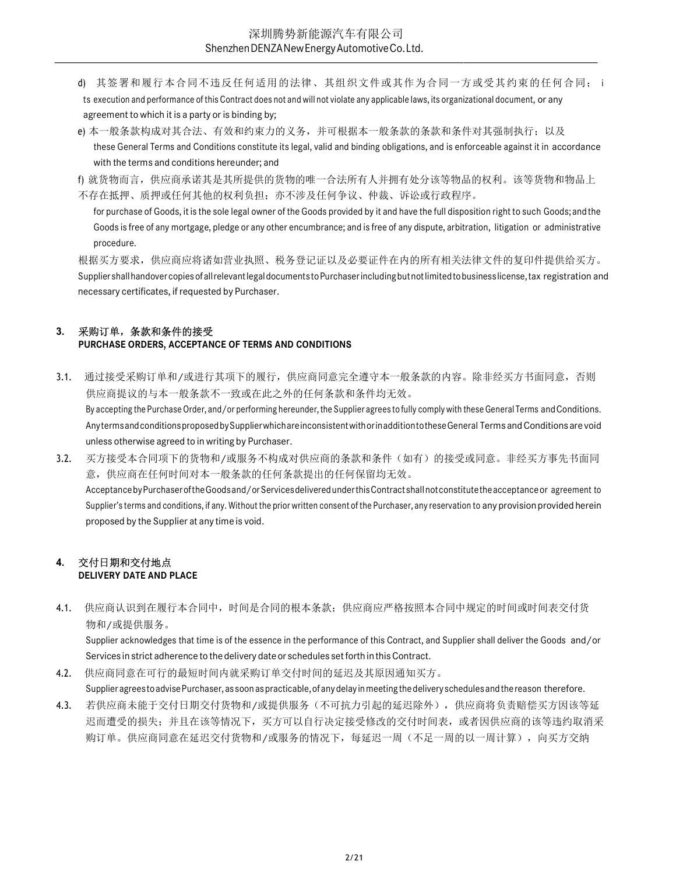- ※圳腾势新能源汽车有限公司<br>
3henzhenDENZANewEnergyAutomotiveCo.Ltd.<br>
d) 其签署和履行本合同不违反任何适用的法律、其组织文件或其作为合同一方或受其约束的任何合同; its recution and performance of this Contract does not and will not violate any applicable laws, its organizationa ts execution and performance of this Contract does not and will not violate any applicable laws, its organizational document, or any agreement to which it is a party or is binding by;
- e) 本一般条款构成对其合法、有效和约束力的义务,并可根据本一般条款的条款和条件对其强制执行; 以及 these General Terms and Conditions constitute its legal, valid and binding obligations, and is enforceable against it in accordance with the terms and conditions hereunder; and

f) 就货物而言,供应商承诺其是其所提供的货物的唯一合法所有人并拥有处分该等物品的权利。该等货物和物品上 不存在抵押、质押或任何其他的权利负担;亦不涉及任何争议、仲裁、诉讼或行政程序。

for purchase of Goods, it is the sole legal owner of the Goods provided by it and have the full disposition right to such Goods; and the Goods is free of any mortgage, pledge or any other encumbrance; and is free of any dispute, arbitration, litigation or administrative procedure.

根据买方要求,供应商应将诸如营业执照、税务登记证以及必要证件在内的所有相关法律文件的复印件提供给买方。 Supplier shall handover copies of all relevant legal documents to Purchaser including but not limited to business license, tax registration and necessary certificates, if requested by Purchaser.

# 3. 采购订单,条款和条件的接受

## PURCHASE ORDERS, ACCEPTANCE OF TERMS AND CONDITIONS

- 3.1. 通过接受采购订单和/或进行其项下的履行,供应商同意完全遵守本一般条款的内容。除非经买方书面同意,否则 供应商提议的与本一般条款不一致或在此之外的任何条款和条件均无效。 By accepting the Purchase Order, and/or performing hereunder, the Supplier agrees to fully comply with these General Terms and Conditions. Any terms and conditions proposed by Supplier which are inconsistent with or in addition to these General Terms and Conditions are void unless otherwise agreed to in writing by Purchaser.
- 3.2. 买方接受本合同项下的货物和/或服务不构成对供应商的条款和条件(如有)的接受或同意。非经买方事先书面同 意,供应商在任何时间对本一般条款的任何条款提出的任何保留均无效。 Acceptance by Purchaser of the Goods and/or Services delivered under this Contract shall not constitute the acceptance or agreement to Supplier's terms and conditions, if any. Without the prior written consent of the Purchaser, any reservation to any provision provided herein proposed by the Supplier at any time is void.

#### 4. 交付日期和交付地点 DELIVERY DATE AND PLACE

4.1. 供应商认识到在履行本合同中,时间是合同的根本条款;供应商应严格按照本合同中规定的时间或时间表交付货 物和/或提供服务。

Supplier acknowledges that time is of the essence in the performance of this Contract, and Supplier shall deliver the Goods and/or Services in strict adherence to the delivery date or schedules set forth in this Contract.

- 4.2. 供应商同意在可行的最短时间内就采购订单交付时间的延迟及其原因通知买方。 Supplier agrees to advise Purchaser, as soon as practicable, of any delay in meeting the delivery schedules and the reason therefore.
- 4.3. 若供应商未能于交付日期交付货物和/或提供服务(不可抗力引起的延迟除外),供应商将负责赔偿买方因该等延 迟而遭受的损失;并且在该等情况下,买方可以自行决定接受修改的交付时间表,或者因供应商的该等违约取消采 购订单。供应商同意在延迟交付货物和/或服务的情况下,每延迟一周(不足一周的以一周计算),向买方交纳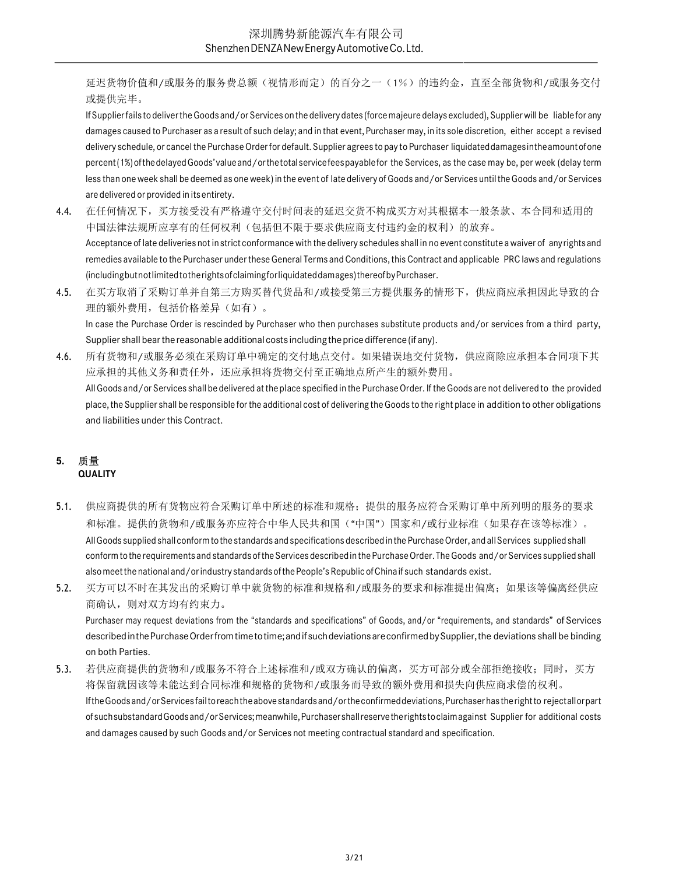延迟货物价值和/或服务的服务费总额(视情形而定)的百分之一(1%)的违约金,直至全部货物和/或服务交付 或提供完毕。

If Supplier fails to deliver the Goods and/or Services on the delivery dates (force majeure delays excluded), Supplier will be liable for any damages caused to Purchaser as a result of such delay; and in that event, Purchaser may, in its sole discretion, either accept a revised delivery schedule, or cancel the Purchase Order for default. Supplier agrees to pay to Purchaser liquidated damages in the amount of one percent (1%) of the delayed Goods' value and/or the total service fees payable for the Services, as the case may be, per week (delay term less than one week shall be deemed as one week) in the event of late delivery of Goods and/or Services until the Goods and/or Services are delivered or provided in its entirety.

- 4.4. 在任何情况下,买方接受没有严格遵守交付时间表的延迟交货不构成买方对其根据本一般条款、本合同和适用的 中国法律法规所应享有的任何权利(包括但不限于要求供应商支付违约金的权利)的放弃。 Acceptance of late deliveries not in strict conformance with the delivery schedules shall in no event constitute a waiver of any rights and remedies available to the Purchaser under these General Terms and Conditions, this Contract and applicable PRC laws and regulations (including but not limited to the rights of claiming for liquidated damages) thereof by Purchaser.
- 4.5. 在买方取消了采购订单并自第三方购买替代货品和/或接受第三方提供服务的情形下,供应商应承担因此导致的合 理的额外费用,包括价格差异(如有)。 In case the Purchase Order is rescinded by Purchaser who then purchases substitute products and/or services from a third party, Supplier shall bear the reasonable additional costs including the price difference (if any).

4.6. 所有货物和/或服务必须在采购订单中确定的交付地点交付。如果错误地交付货物,供应商除应承担本合同项下其 应承担的其他义务和责任外,还应承担将货物交付至正确地点所产生的额外费用。 All Goods and/or Services shall be delivered at the place specified in the Purchase Order. If the Goods are not delivered to the provided place, the Supplier shall be responsible for the additional cost of delivering the Goods to the right place in addition to other obligations and liabilities under this Contract.

# 5. 质量 **QUALITY**

- 5.1. 供应商提供的所有货物应符合采购订单中所述的标准和规格;提供的服务应符合采购订单中所列明的服务的要求 和标准。提供的货物和/或服务亦应符合中华人民共和国("中国")国家和/或行业标准(如果存在该等标准)。 All Goods supplied shall conform to the standards and specifications described in the Purchase Order, and all Services supplied shall conform to the requirements and standards of the Services described in the Purchase Order. The Goods and/or Services supplied shall also meet the national and/or industry standards of the People's Republic of China if such standards exist.
- 5.2. 买方可以不时在其发出的采购订单中就货物的标准和规格和/或服务的要求和标准提出偏离;如果该等偏离经供应 商确认,则对双方均有约束力。

Purchaser may request deviations from the "standards and specifications" of Goods, and/or "requirements, and standards" of Services described in the Purchase Order from time to time; and if such deviations are confirmed by Supplier, the deviations shall be binding on both Parties.

5.3. 若供应商提供的货物和/或服务不符合上述标准和/或双方确认的偏离,买方可部分或全部拒绝接收;同时,买方 将保留就因该等未能达到合同标准和规格的货物和/或服务而导致的额外费用和损失向供应商求偿的权利。 If the Goods and/or Services fail to reach the above standards and/or the confirmed deviations, Purchaser has the right to reject all or part of such substandard Goods and/or Services; meanwhile, Purchaser shall reserve the rights to claim against Supplier for additional costs and damages caused by such Goods and/or Services not meeting contractual standard and specification.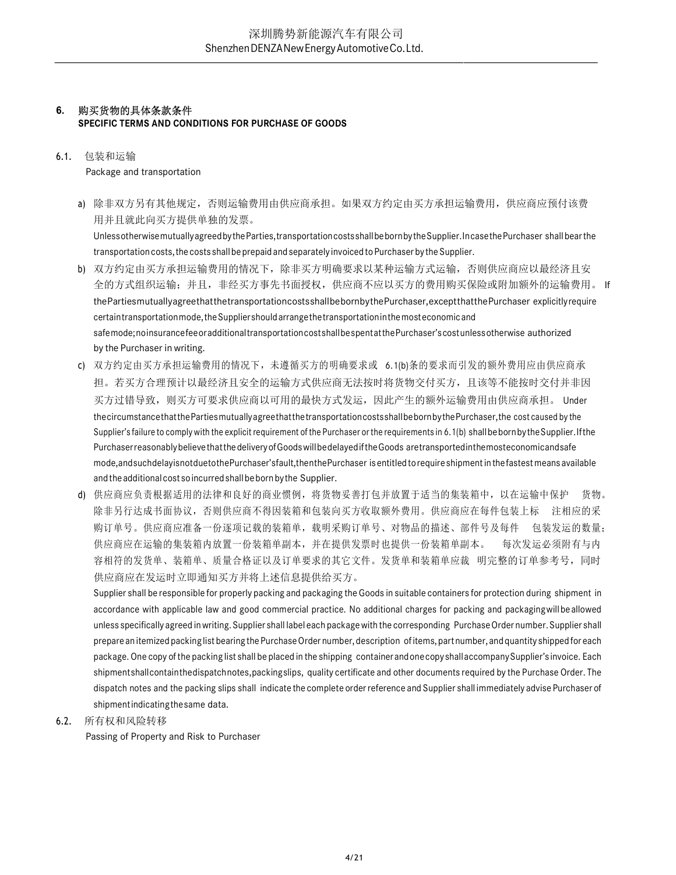# 6. 购买货物的具体条款条件

SPECIFIC TERMS AND CONDITIONS FOR PURCHASE OF GOODS

#### 6.1. 包装和运输

Package and transportation

a) 除非双方另有其他规定,否则运输费用由供应商承担。如果双方约定由买方承担运输费用,供应商应预付该费 用并且就此向买方提供单独的发票。 Unless otherwise mutually agreed by the Parties, transportation costs shall be born by the Supplier. In case the Purchaser shall bear the

transportation costs, the costs shall be prepaid and separately invoiced to Purchaser by the Supplier.

- b) 双方约定由买方承担运输费用的情况下,除非买方明确要求以某种运输方式运输,否则供应商应以最经济且安 全的方式组织运输;并且,非经买方事先书面授权,供应商不应以买方的费用购买保险或附加额外的运输费用。 If the Parties mutually agree that the transportation costs shall be born by the Purchaser, except that the Purchaser explicitly require certain transportation mode, the Supplier should arrange the transportation in the most economic and safe mode; no insurance fee or additional transportation cost shall be spent at the Purchaser's cost unless otherwise authorized by the Purchaser in writing.
- c) 双方约定由买方承担运输费用的情况下,未遵循买方的明确要求或 6.1(b)条的要求而引发的额外费用应由供应商承 担。若买方合理预计以最经济且安全的运输方式供应商无法按时将货物交付买方,且该等不能按时交付并非因 买方过错导致,则买方可要求供应商以可用的最快方式发运,因此产生的额外运输费用由供应商承担。 Under the circumstance that the Parties mutually agree that the transportation costs shall be born by the Purchaser, the cost caused by the Supplier's failure to comply with the explicit requirement of the Purchaser or the requirements in 6.1(b) shall be born by the Supplier. If the Purchaser reasonably believe that the delivery of Goods will bedelayed if the Goods are transported in the mosteconomic and safe mode, and such delay is not due to the Purchaser's fault, then the Purchaser is entitled to require shipment in the fastest means available and the additional cost so incurred shall be born by the Supplier.
- d) 供应商应负责根据适用的法律和良好的商业惯例,将货物妥善打包并放置于适当的集装箱中,以在运输中保护 货物。 除非另行达成书面协议,否则供应商不得因装箱和包装向买方收取额外费用。供应商应在每件包装上标 注相应的采 购订单号。供应商应准备一份逐项记载的装箱单,载明采购订单号、对物品的描述、部件号及每件 包装发运的数量; 供应商应在运输的集装箱内放置一份装箱单副本,并在提供发票时也提供一份装箱单副本。 每次发运必须附有与内 容相符的发货单、装箱单、质量合格证以及订单要求的其它文件。发货单和装箱单应裁 明完整的订单参考号,同时 供应商应在发运时立即通知买方并将上述信息提供给买方。

Supplier shall be responsible for properly packing and packaging the Goods in suitable containers for protection during shipment in accordance with applicable law and good commercial practice. No additional charges for packing and packaging will be allowed unless specifically agreed in writing. Supplier shall label each package with the corresponding Purchase Order number. Supplier shall prepare an itemized packing list bearing the Purchase Order number, description of items, part number, and quantity shipped for each package. One copy of the packing list shall be placed in the shipping container and one copy shall accompany Supplier's invoice. Each shipment shall contain the dispatch notes, packing slips, quality certificate and other documents required by the Purchase Order. The dispatch notes and the packing slips shall indicate the complete order reference and Supplier shall immediately advise Purchaser of shipment indicating the same data.

6.2. 所有权和风险转移

Passing of Property and Risk to Purchaser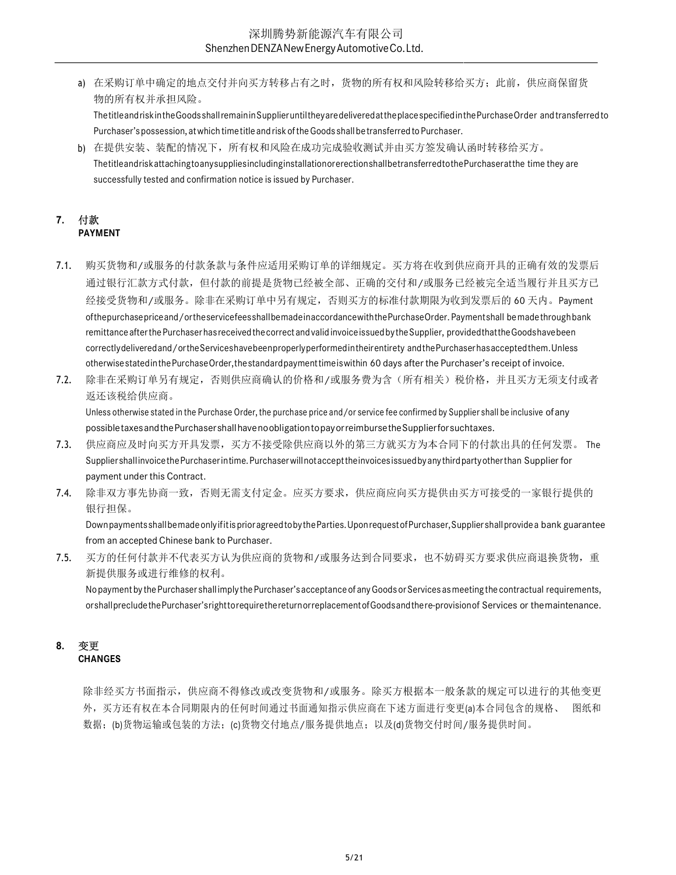a) 在采购订单中确定的地点交付并向买方转移占有之时,货物的所有权和风险转移给买方; 此前,供应商保留货 物的所有权并承担风险。

The title and risk in the Goods shall remain in Supplier until they are delivered at the place specified in the Purchase Order and transferred to Purchaser's possession, at which time title and risk of the Goods shall be transferred to Purchaser.

b) 在提供安装、装配的情况下,所有权和风险在成功完成验收测试并由买方签发确认函时转移给买方。 The title and risk attaching to any supplies including installation or erection shall be transferred to the Purchaser at the time they are successfully tested and confirmation notice is issued by Purchaser.

#### 7. 付款 PAYMENT

- 7.1. 购买货物和/或服务的付款条款与条件应适用采购订单的详细规定。买方将在收到供应商开具的正确有效的发票后 通过银行汇款方式付款,但付款的前提是货物已经被全部、正确的交付和/或服务已经被完全适当履行并且买方已 经接受货物和/或服务。除非在采购订单中另有规定,否则买方的标准付款期限为收到发票后的 60 天内。Payment of the purchase price and/or the service fees shall be made in accordance with the Purchase Order. Payment shall be made through bank remittance after the Purchaser has received the correct and valid invoice issued by the Supplier, provided that the Goods have been correctly delivered and/or the Services have been properly performed in their entirety and the Purchaser has accepted them. Unless otherwise stated in the Purchase Order, the standard payment time is within 60 days after the Purchaser's receipt of invoice.
- 7.2. 除非在采购订单另有规定,否则供应商确认的价格和/或服务费为含(所有相关)税价格,并且买方无须支付或者 返还该税给供应商。

Unless otherwise stated in the Purchase Order, the purchase price and/or service fee confirmed by Supplier shall be inclusive of any possible taxes and the Purchaser shall have no obligation to pay or reimburse the Supplier for such taxes.

- 7.3. 供应商应及时向买方开具发票,买方不接受除供应商以外的第三方就买方为本合同下的付款出具的任何发票。 The Supplier shall invoice the Purchaser in time. Purchaser will not accept the invoices issued by any third party other than Supplier for payment under this Contract.
- 7.4. 除非双方事先协商一致,否则无需支付定金。应买方要求,供应商应向买方提供由买方可接受的一家银行提供的 银行担保。

Down payments shall be made only if it is prior agreed to by the Parties. Upon request of Purchaser, Supplier shall provide a bank guarantee from an accepted Chinese bank to Purchaser.

7.5. 买方的任何付款并不代表买方认为供应商的货物和/或服务达到合同要求,也不妨碍买方要求供应商退换货物,重 新提供服务或进行维修的权利。

No payment by the Purchaser shall imply the Purchaser's acceptance of any Goods or Services as meeting the contractual requirements, or shall preclude the Purchaser's right to require the return or replacement of Goods and the re-provision of Services or the maintenance.

#### 8. 变更 **CHANGES**

除非经买方书面指示,供应商不得修改或改变货物和/或服务。除买方根据本一般条款的规定可以进行的其他变更 外,买方还有权在本合同期限内的任何时间通过书面通知指示供应商在下述方面进行变更(a)本合同包含的规格、 图纸和 数据;(b)货物运输或包装的方法;(c)货物交付地点/服务提供地点;以及(d)货物交付时间/服务提供时间。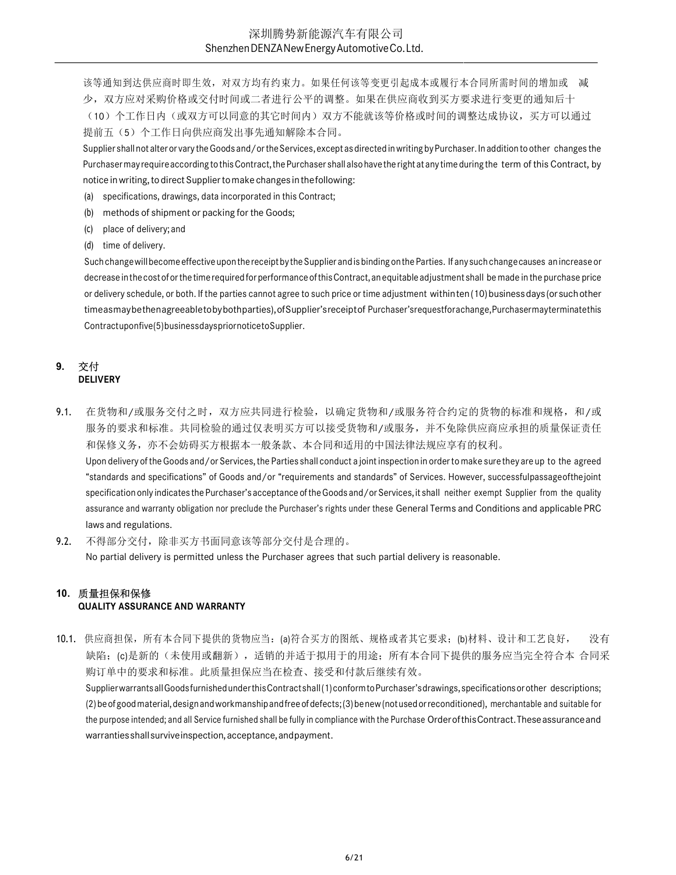该等通知到达供应商时即生效,对双方均有约束力。如果任何该等变更引起成本或履行本合同所需时间的增加或 减 少,双方应对采购价格或交付时间或二者进行公平的调整。如果在供应商收到买方要求进行变更的通知后十 (10)个工作日内(或双方可以同意的其它时间内)双方不能就该等价格或时间的调整达成协议,买方可以通过 提前五(5)个工作日向供应商发出事先通知解除本合同。

Supplier shall not alter or vary the Goods and/or the Services, except as directed in writing by Purchaser. In addition to other changes the Purchaser may require according to this Contract, the Purchaser shall also have the right at any time during the term of this Contract, by notice in writing, to direct Supplier to make changes in the following:

- (a) specifications, drawings, data incorporated in this Contract;
- (b) methods of shipment or packing for the Goods;
- (c) place of delivery; and
- (d) time of delivery.

Such change will become effective upon the receipt by the Supplier and is binding on the Parties. If any such change causes an increase or decrease in the cost of or the time required for performance of this Contract, an equitable adjustment shall be made in the purchase price or delivery schedule, or both. If the parties cannot agree to such price or time adjustment within ten (10) business days (or such other time as may be then agreeable to by both parties), of Supplier's receipt of Purchaser's request for a change, Purchaser may terminate this Contract upon five (5) business days prior notice to Supplier.

#### 9. 交付 DELIVERY

- 9.1. 在货物和/或服务交付之时, 双方应共同进行检验, 以确定货物和/或服务符合约定的货物的标准和规格, 和/或 服务的要求和标准。共同检验的通过仅表明买方可以接受货物和/或服务,并不免除供应商应承担的质量保证责任 和保修义务,亦不会妨碍买方根据本一般条款、本合同和适用的中国法律法规应享有的权利。 Upon delivery of the Goods and/or Services, the Parties shall conduct a joint inspection in order to make sure they are up to the agreed "standards and specifications" of Goods and/or "requirements and standards" of Services. However, successful passage of the joint specification only indicates the Purchaser's acceptance of the Goods and/or Services, it shall neither exempt Supplier from the quality assurance and warranty obligation nor preclude the Purchaser's rights under these General Terms and Conditions and applicable PRC laws and regulations.
- 9.2. 不得部分交付,除非买方书面同意该等部分交付是合理的。 No partial delivery is permitted unless the Purchaser agrees that such partial delivery is reasonable.

#### 10. 质量担保和保修 QUALITY ASSURANCE AND WARRANTY

10.1. 供应商担保,所有本合同下提供的货物应当:(a)符合买方的图纸、规格或者其它要求;(b)材料、设计和工艺良好, 没有 缺陷;(c)是新的(未使用或翻新),适销的并适于拟用于的用途;所有本合同下提供的服务应当完全符合本 合同采 购订单中的要求和标准。此质量担保应当在检查、接受和付款后继续有效。

Supplier warrants all Goods furnished under this Contract shall (1) conform to Purchaser's drawings, specifications or other descriptions; (2) be of good material, design and workmanship and free of defects; (3) be new (not used or reconditioned), merchantable and suitable for the purpose intended; and all Service furnished shall be fully in compliance with the Purchase Order of this Contract. These assurance and warranties shall survive inspection, acceptance, and payment.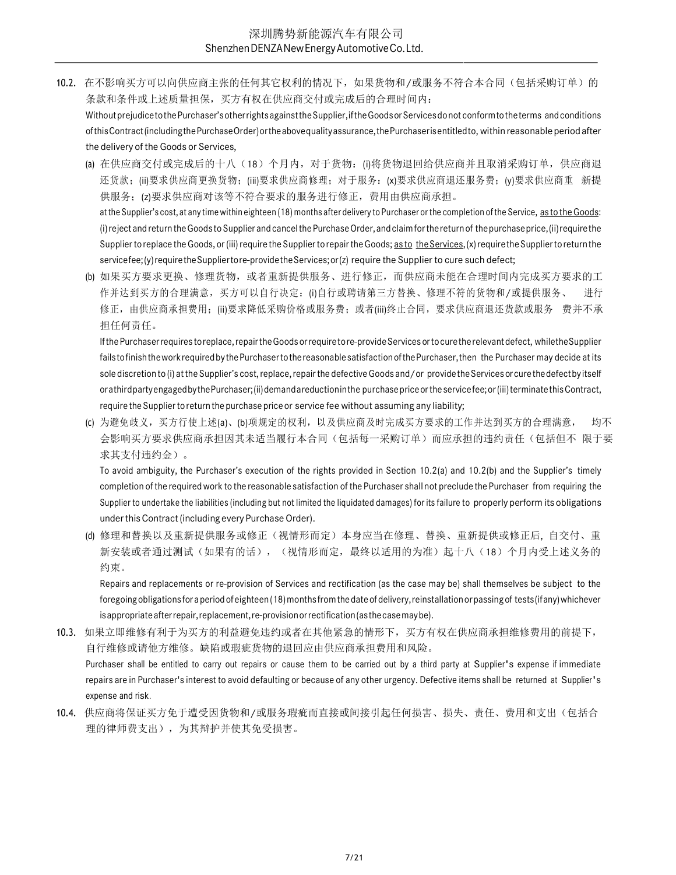10.2. 在不影响买方可以向供应商主张的任何其它权利的情况下,如果货物和/或服务不符合本合同(包括采购订单)的 条款和条件或上述质量担保,买方有权在供应商交付或完成后的合理时间内: Without prejudice to the Purchaser's other rights against the Supplier, if the Goods or Services do not conform to the terms and conditions

of this Contract (including the Purchase Order) or the above quality assurance, the Purchaser is entitled to, within reasonable period after the delivery of the Goods or Services,

- (a) 在供应商交付或完成后的十八(18)个月内, 对于货物: (i)将货物退回给供应商并且取消采购订单, 供应商退 还货款;(ii)要求供应商更换货物;(iii)要求供应商修理;对于服务:(x)要求供应商退还服务费;(y)要求供应商重 新提 供服务;(z)要求供应商对该等不符合要求的服务进行修正,费用由供应商承担。 at the Supplier's cost, at any time within eighteen (18) months after delivery to Purchaser or the completion of the Service, as to the Goods: (i) reject and return the Goods to Supplier and cancel the Purchase Order, and claim for the return of the purchase price, (ii) require the Supplier to replace the Goods, or (iii) require the Supplier to repair the Goods; as to the Services, (x) require the Supplier to return the
- (b) 如果买方要求更换、修理货物,或者重新提供服务、进行修正,而供应商未能在合理时间内完成买方要求的工 作并达到买方的合理满意,买方可以自行决定:(i)自行或聘请第三方替换、修理不符的货物和/或提供服务、 进行 修正,由供应商承担费用;(ii)要求降低采购价格或服务费;或者(iii)终止合同,要求供应商退还货款或服务 费并不承 担任何责任。

service fee; (y) require the Supplier to re-provide the Services; or (z) require the Supplier to cure such defect;

If the Purchaser requires to replace, repair the Goods or require to re-provide Services or to cure the relevant defect, while the Supplier fails to finish the work required by the Purchaser to the reasonable satisfaction of the Purchaser, then the Purchaser may decide at its sole discretion to (i) at the Supplier's cost, replace, repair the defective Goods and/or provide the Services or cure the defect by itself or a third party engaged by the Purchaser; (ii) demand a reduction in the purchase price or the service fee; or (iii) terminate this Contract, require the Supplier to return the purchase price or service fee without assuming any liability;

(c) 为避免歧义,买方行使上述(a)、(b)项规定的权利,以及供应商及时完成买方要求的工作并达到买方的合理满意, 均不 会影响买方要求供应商承担因其未适当履行本合同(包括每一采购订单)而应承担的违约责任(包括但不 限于要 求其支付违约金)。

To avoid ambiguity, the Purchaser's execution of the rights provided in Section 10.2(a) and 10.2(b) and the Supplier's timely completion of the required work to the reasonable satisfaction of the Purchaser shall not preclude the Purchaser from requiring the Supplier to undertake the liabilities (including but not limited the liquidated damages) for its failure to properly perform its obligations under this Contract (including every Purchase Order).

(d) 修理和替换以及重新提供服务或修正(视情形而定)本身应当在修理、替换、重新提供或修正后, 自交付、重 新安装或者通过测试(如果有的话),(视情形而定,最终以适用的为准)起十八(18)个月内受上述义务的 约束。

Repairs and replacements or re-provision of Services and rectification (as the case may be) shall themselves be subject to the foregoing obligations for a period of eighteen (18) months from the date of delivery, reinstallation or passing of tests (if any) whichever is appropriate after repair, replacement, re-provision or rectification (as the case may be).

- 10.3. 如果立即维修有利于为买方的利益避免违约或者在其他紧急的情形下,买方有权在供应商承担维修费用的前提下, 自行维修或请他方维修。缺陷或瑕疵货物的退回应由供应商承担费用和风险。 Purchaser shall be entitled to carry out repairs or cause them to be carried out by a third party at Supplier's expense if immediate repairs are in Purchaser's interest to avoid defaulting or because of any other urgency. Defective items shall be returned at Supplier's expense and risk.
- 10.4. 供应商将保证买方免于遭受因货物和/或服务瑕疵而直接或间接引起任何损害、损失、责任、费用和支出(包括合 理的律师费支出),为其辩护并使其免受损害。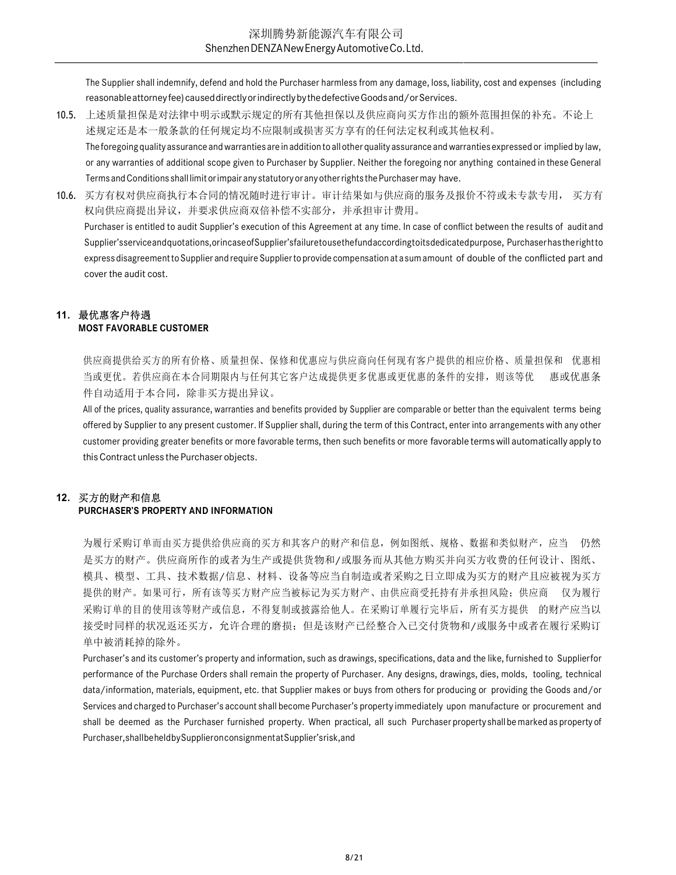The Supplier shall indemnify, defend and hold the Purchaser harmless from any damage, loss, liability, cost and expenses (including reasonable attorney fee) caused directly or indirectly by the defective Goods and/or Services.

- 10.5. 上述质量担保是对法律中明示或默示规定的所有其他担保以及供应商向买方作出的额外范围担保的补充。不论上 述规定还是本一般条款的任何规定均不应限制或损害买方享有的任何法定权利或其他权利。 The foregoing quality assurance and warranties are in addition to all other quality assurance and warranties expressed or implied by law, or any warranties of additional scope given to Purchaser by Supplier. Neither the foregoing nor anything contained in these General Terms and Conditions shall limit or impair any statutory or any other rights the Purchaser may have.
- 10.6. 买方有权对供应商执行本合同的情况随时进行审计。审计结果如与供应商的服务及报价不符或未专款专用, 买方有 权向供应商提出异议,并要求供应商双倍补偿不实部分,并承担审计费用。 Purchaser is entitled to audit Supplier's execution of this Agreement at any time. In case of conflict between the results of audit and Supplier's service and quotations, or in case of Supplier's failure to use the fund according to its dedicated purpose, Purchaser has the right to express disagreement to Supplier and require Supplier to provide compensation at a sum amount of double of the conflicted part and cover the audit cost.

#### 11. 最优惠客户待遇 MOST FAVORABLE CUSTOMER

供应商提供给买方的所有价格、质量担保、保修和优惠应与供应商向任何现有客户提供的相应价格、质量担保和 优惠相 当或更优。若供应商在本合同期限内与任何其它客户达成提供更多优惠或更优惠的条件的安排,则该等优 惠或优惠条 件自动适用于本合同,除非买方提出异议。

All of the prices, quality assurance, warranties and benefits provided by Supplier are comparable or better than the equivalent terms being offered by Supplier to any present customer. If Supplier shall, during the term of this Contract, enter into arrangements with any other customer providing greater benefits or more favorable terms, then such benefits or more favorable terms will automatically apply to this Contract unless the Purchaser objects.

## 12. 买方的财产和信息

## PURCHASER'S PROPERTY AND INFORMATION

为履行采购订单而由买方提供给供应商的买方和其客户的财产和信息,例如图纸、规格、数据和类似财产,应当 仍然 是买方的财产。供应商所作的或者为生产或提供货物和/或服务而从其他方购买并向买方收费的任何设计、图纸、 模具、模型、工具、技术数据/信息、材料、设备等应当自制造或者采购之日立即成为买方的财产且应被视为买方 提供的财产。如果可行,所有该等买方财产应当被标记为买方财产、由供应商受托持有并承担风险;供应商 仅为履行 采购订单的目的使用该等财产或信息,不得复制或披露给他人。在采购订单履行完毕后,所有买方提供 的财产应当以 接受时同样的状况返还买方,允许合理的磨损;但是该财产已经整合入已交付货物和/或服务中或者在履行采购订 单中被消耗掉的除外。

Purchaser's and its customer's property and information, such as drawings, specifications, data and the like, furnished to Supplierfor performance of the Purchase Orders shall remain the property of Purchaser. Any designs, drawings, dies, molds, tooling, technical data/information, materials, equipment, etc. that Supplier makes or buys from others for producing or providing the Goods and/or Services and charged to Purchaser's account shall become Purchaser's property immediately upon manufacture or procurement and shall be deemed as the Purchaser furnished property. When practical, all such Purchaser property shall be marked as property of Purchaser, shall be held by Supplier on consignment at Supplier's risk, and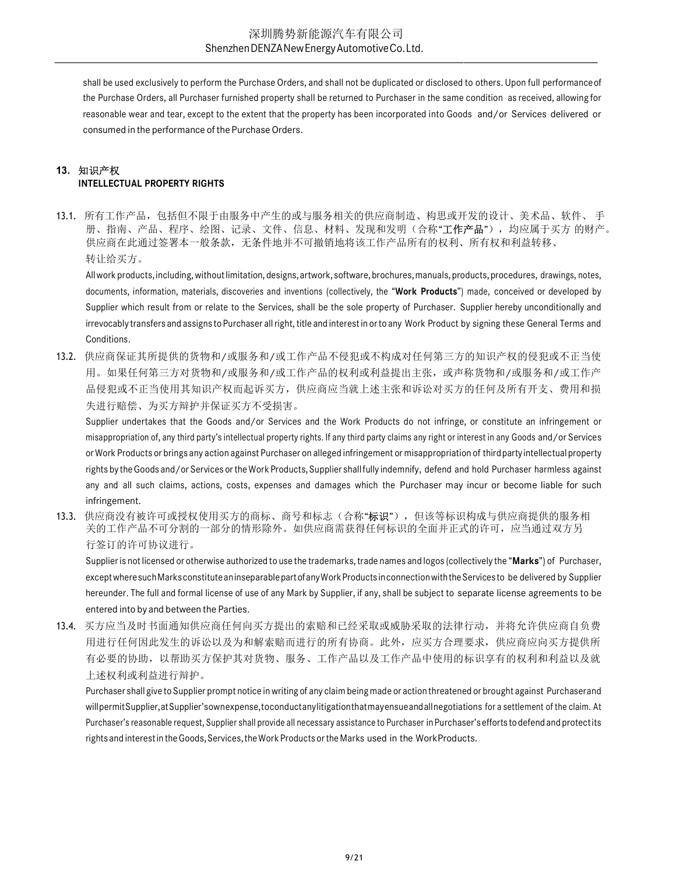shall be used exclusively to perform the Purchase Orders, and shall not be duplicated or disclosed to others. Upon full performance of the Purchase Orders, all Purchaser furnished property shall be returned to Purchaser in the same condition as received, allowing for reasonable wear and tear, except to the extent that the property has been incorporated into Goods and/or Services delivered or consumed in the performance of the Purchase Orders.

#### 13. 知识产权 INTELLECTUAL PROPERTY RIGHTS

13.1. 所有工作产品,包括但不限于由服务中产生的或与服务相关的供应商制造、构思或开发的设计、美术品、软件、 手 册、指南、产品、程序、绘图、记录、文件、信息、材料、发现和发明(合称"工**作产品**"),均应属于买方 的财产。 供应商在此通过签署本一般条款,无条件地并不可撤销地将该工作产品所有的权利、所有权和利益转移、 转让给买方。

All work products, including, without limitation, designs, artwork, software, brochures, manuals, products, procedures, drawings, notes, documents, information, materials, discoveries and inventions (collectively, the "Work Products") made, conceived or developed by Supplier which result from or relate to the Services, shall be the sole property of Purchaser. Supplier hereby unconditionally and irrevocably transfers and assigns to Purchaser all right, title and interest in or to any Work Product by signing these General Terms and Conditions.

13.2. 供应商保证其所提供的货物和/或服务和/或工作产品不侵犯或不构成对任何第三方的知识产权的侵犯或不正当使 用。如果任何第三方对货物和/或服务和/或工作产品的权利或利益提出主张,或声称货物和/或服务和/或工作产 品侵犯或不正当使用其知识产权而起诉买方,供应商应当就上述主张和诉讼对买方的任何及所有开支、费用和损 失进行赔偿、为买方辩护并保证买方不受损害。

Supplier undertakes that the Goods and/or Services and the Work Products do not infringe, or constitute an infringement or misappropriation of, any third party's intellectual property rights. If any third party claims any right or interest in any Goods and/or Services or Work Products or brings any action against Purchaser on alleged infringement or misappropriation of third party intellectual property rights by the Goods and/or Services or the Work Products, Supplier shall fully indemnify, defend and hold Purchaser harmless against any and all such claims, actions, costs, expenses and damages which the Purchaser may incur or become liable for such infringement.

13.3. 供应商没有被许可或授权使用买方的商标、商号和标志(合称"标识"),但该等标识构成与供应商提供的服务相 关的工作产品不可分割的一部分的情形除外。如供应商需获得任何标识的全面并正式的许可,应当通过双方另 行签订的许可协议进行。

Supplier is not licensed or otherwise authorized to use the trademarks, trade names and logos (collectively the "Marks") of Purchaser, except where such Marks constitute an inseparable part of any Work Products in connection with the Services to be delivered by Supplier hereunder. The full and formal license of use of any Mark by Supplier, if any, shall be subject to separate license agreements to be entered into by and between the Parties.

13.4. 买方应当及时书面通知供应商任何向买方提出的索赔和已经采取或威胁采取的法律行动,并将允许供应商自负费 用进行任何因此发生的诉讼以及为和解索赔而进行的所有协商。此外,应买方合理要求,供应商应向买方提供所 有必要的协助,以帮助买方保护其对货物、服务、工作产品以及工作产品中使用的标识享有的权利和利益以及就 上述权利或利益进行辩护。

Purchaser shall give to Supplier prompt notice in writing of any claim being made or action threatened or brought against Purchaser and will permit Supplier, at Supplier's own expense, to conduct any litigation that may ensue and all negotiations for a settlement of the claim. At Purchaser's reasonable request, Supplier shall provide all necessary assistance to Purchaser in Purchaser's efforts to defend and protect its rights and interest in the Goods, Services, the Work Products or the Marks used in the Work Products.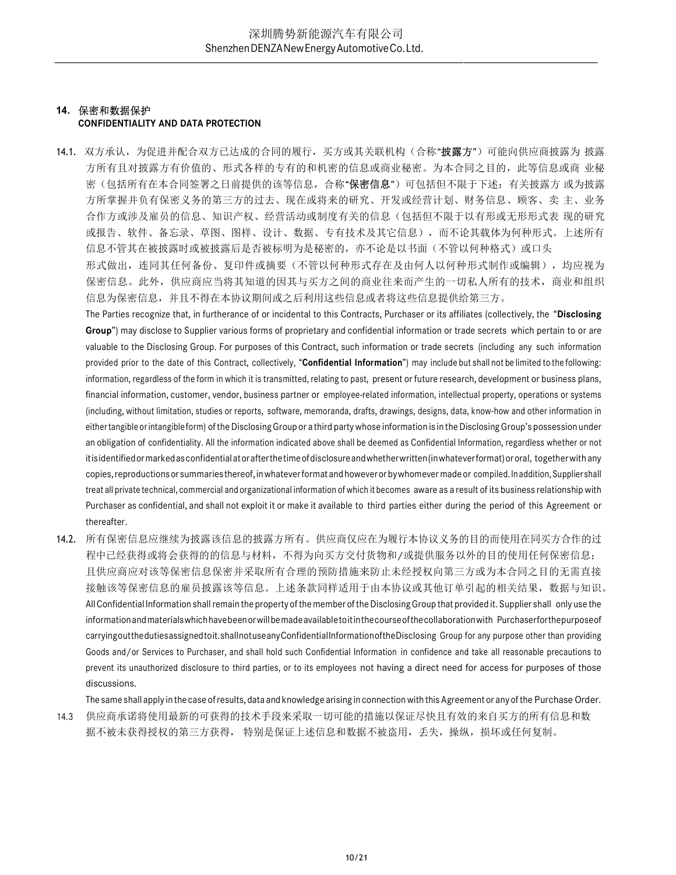# 14. 保密和数据保护

#### CONFIDENTIALITY AND DATA PROTECTION

14.1. 双方承认,为促进并配合双方已达成的合同的履行,买方或其关联机构(合称"披露方")可能向供应商披露为 披露 方所有且对披露方有价值的、形式各样的专有的和机密的信息或商业秘密。为本合同之目的,此等信息或商 业秘 密(包括所有在本合同签署之日前提供的该等信息,合称"保密信息")可包括但不限于下述: 有关披露方 或为披露 方所掌握并负有保密义务的第三方的过去、现在或将来的研究、开发或经营计划、财务信息、顾客、卖 主、业务 合作方或涉及雇员的信息、知识产权、经营活动或制度有关的信息(包括但不限于以有形或无形形式表 现的研究 或报告、软件、备忘录、草图、图样、设计、数据、专有技术及其它信息),而不论其载体为何种形式。上述所有 信息不管其在被披露时或被披露后是否被标明为是秘密的,亦不论是以书面(不管以何种格式)或口头 形式做出,连同其任何备份、复印件或摘要(不管以何种形式存在及由何人以何种形式制作或编辑),均应视为 保密信息。此外,供应商应当将其知道的因其与买方之间的商业往来而产生的一切私人所有的技术,商业和组织

信息为保密信息,并且不得在本协议期间或之后利用这些信息或者将这些信息提供给第三方。

The Parties recognize that, in furtherance of or incidental to this Contracts, Purchaser or its affiliates (collectively, the "Disclosing Group") may disclose to Supplier various forms of proprietary and confidential information or trade secrets which pertain to or are valuable to the Disclosing Group. For purposes of this Contract, such information or trade secrets (including any such information provided prior to the date of this Contract, collectively, "Confidential Information") may include but shall not be limited to the following: information, regardless of the form in which it is transmitted, relating to past, present or future research, development or business plans, financial information, customer, vendor, business partner or employee-related information, intellectual property, operations or systems (including, without limitation, studies or reports, software, memoranda, drafts, drawings, designs, data, know-how and other information in either tangible or intangible form) of the Disclosing Group or a third party whose information is in the Disclosing Group's possession under an obligation of confidentiality. All the information indicated above shall be deemed as Confidential Information, regardless whether or not it is identified or marked as confidential at or after the time of disclosure and whether written (in whatever format) or oral, together with any copies, reproductions or summaries thereof, in whatever format and however or by whomever made or compiled. In addition, Supplier shall treat all private technical, commercial and organizational information of which it becomes aware as a result of its business relationship with Purchaser as confidential, and shall not exploit it or make it available to third parties either during the period of this Agreement or thereafter.

14.2. 所有保密信息应继续为披露该信息的披露方所有。供应商仅应在为履行本协议义务的目的而使用在同买方合作的过 程中已经获得或将会获得的的信息与材料,不得为向买方交付货物和/或提供服务以外的目的使用任何保密信息; 且供应商应对该等保密信息保密并采取所有合理的预防措施来防止未经授权向第三方或为本合同之目的无需直接 接触该等保密信息的雇员披露该等信息。上述条款同样适用于由本协议或其他订单引起的相关结果,数据与知识。 All Confidential Information shall remain the property of the member of the Disclosing Group that provided it. Supplier shall only use the information and materials which have been or will be made available to it in the course of the collaboration with Purchaser for the purpose of carrying out the duties assigned to it. shall not use any Confidential Information of the Disclosing Group for any purpose other than providing Goods and/or Services to Purchaser, and shall hold such Confidential Information in confidence and take all reasonable precautions to prevent its unauthorized disclosure to third parties, or to its employees not having a direct need for access for purposes of those discussions.

The same shall apply in the case of results, data and knowledge arising in connection with this Agreement or any of the Purchase Order. 14.3 供应商承诺将使用最新的可获得的技术手段来采取一切可能的措施以保证尽快且有效的来自买方的所有信息和数

据不被未获得授权的第三方获得, 特别是保证上述信息和数据不被盗用,丢失,操纵,损坏或任何复制。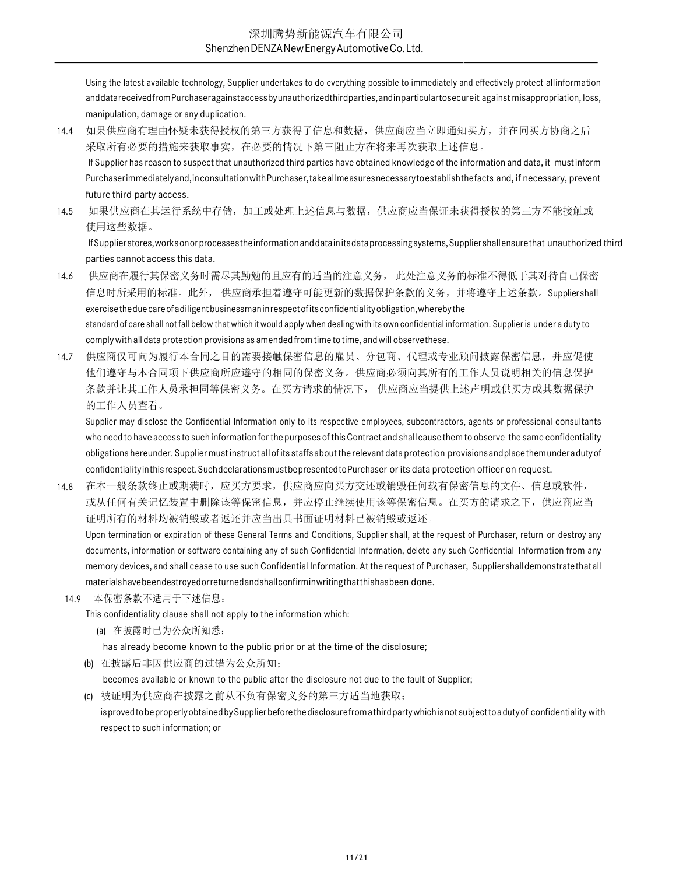Using the latest available technology, Supplier undertakes to do everything possible to immediately and effectively protect all information and data received from Purchaser against access by unauthorized third parties, and in particular to secure it against misappropriation, loss, manipulation, damage or any duplication.

- 14.4 如果供应商有理由怀疑未获得授权的第三方获得了信息和数据,供应商应当立即通知买方,并在同买方协商之后 采取所有必要的措施来获取事实,在必要的情况下第三阻止方在将来再次获取上述信息。 If Supplier has reason to suspect that unauthorized third parties have obtained knowledge of the information and data, it must inform Purchaser immediately and, inconsultation with Purchaser, take all measures necessary to establish the facts and, if necessary, prevent future third-party access.
- 14.5 如果供应商在其运行系统中存储,加工或处理上述信息与数据,供应商应当保证未获得授权的第三方不能接触或 使用这些数据。

If Supplier stores, works on or processes the information and data in its data processing systems, Supplier shall ensure that unauthorized third parties cannot access this data.

- 14.6 供应商在履行其保密义务时需尽其勤勉的且应有的适当的注意义务, 此处注意义务的标准不得低于其对待自己保密 信息时所采用的标准。此外, 供应商承担着遵守可能更新的数据保护条款的义务, 并将遵守上述条款。Suppliershall exercise the due care of a diligent businessman in respect of its confidentiality obligation, whereby the standard of care shall not fall below that which it would apply when dealing with its own confidential information. Supplier is under a duty to comply with all data protection provisions as amended from time to time, and will observe these.
- 14.7 供应商仅可向为履行本合同之目的需要接触保密信息的雇员、分包商、代理或专业顾问披露保密信息,并应促使 他们遵守与本合同项下供应商所应遵守的相同的保密义务。供应商必须向其所有的工作人员说明相关的信息保护 条款并让其工作人员承担同等保密义务。在买方请求的情况下, 供应商应当提供上述声明或供买方或其数据保护 的工作人员查看。

Supplier may disclose the Confidential Information only to its respective employees, subcontractors, agents or professional consultants who need to have access to such information for the purposes of this Contract and shall cause them to observe the same confidentiality obligations hereunder. Supplier must instruct all of its staffs about the relevant data protection provisions and place them under a duty of confidentiality in this respect. Such declarations must be presented to Purchaser or its data protection officer on request.

14.8 在本一般条款终止或期满时,应买方要求,供应商应向买方交还或销毁任何载有保密信息的文件、信息或软件, 或从任何有关记忆装置中删除该等保密信息,并应停止继续使用该等保密信息。在买方的请求之下,供应商应当 证明所有的材料均被销毁或者返还并应当出具书面证明材料已被销毁或返还。

Upon termination or expiration of these General Terms and Conditions, Supplier shall, at the request of Purchaser, return or destroy any documents, information or software containing any of such Confidential Information, delete any such Confidential Information from any memory devices, and shall cease to use such Confidential Information. At the request of Purchaser, Supplier shall demonstrate that all materials have been destroyed or returned and shall confirm in writing that this has been done.

14.9 本保密条款不适用于下述信息:

This confidentiality clause shall not apply to the information which:

(a) 在披露时已为公众所知悉;

has already become known to the public prior or at the time of the disclosure;

(b) 在披露后非因供应商的过错为公众所知;

becomes available or known to the public after the disclosure not due to the fault of Supplier;

(c) 被证明为供应商在披露之前从不负有保密义务的第三方适当地获取;

is proved to be properly obtained by Supplier before the disclosure from a third party which is not subject to a duty of confidentiality with respect to such information; or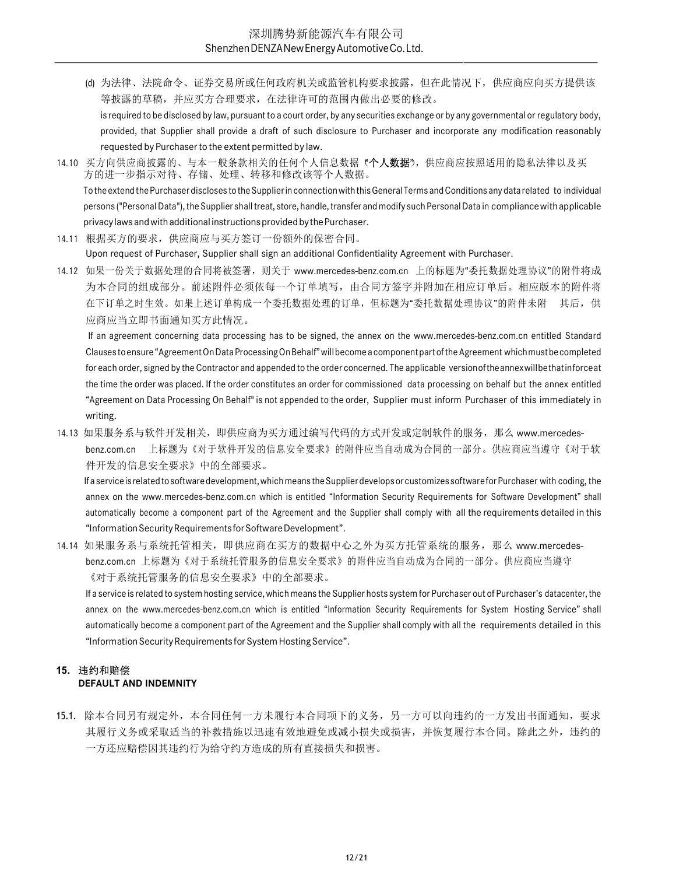- (d) 为法律、法院命令、证券交易所或任何政府机关或监管机构要求披露,但在此情况下,供应商应向买方提供该 等披露的草稿,并应买方合理要求,在法律许可的范围内做出必要的修改。 is required to be disclosed by law, pursuant to a court order, by any securities exchange or by any governmental or regulatory body,
- provided, that Supplier shall provide a draft of such disclosure to Purchaser and incorporate any modification reasonably requested by Purchaser to the extent permitted by law.
- 14.10 买方向供应商披露的、与本一般条款相关的任何个人信息数据(个人数据"),供应商应按照适用的隐私法律以及买 方的进一步指示对待、存储、处理、转移和修改该等个人数据。 To the extend the Purchaser discloses to the Supplier in connection with this General Terms and Conditions any data related to individual persons ("Personal Data"), the Supplier shall treat, store, handle, transfer and modify such Personal Data in compliance with applicable privacy laws and with additional instructions provided by the Purchaser.
- 14.11 根据买方的要求,供应商应与买方签订一份额外的保密合同。

Upon request of Purchaser, Supplier shall sign an additional Confidentiality Agreement with Purchaser.

14.12 如果一份关于数据处理的合同将被签署,则关于 www.mercedes-benz.com.cn 上的标题为"委托数据处理协议"的附件将成 为本合同的组成部分。前述附件必须依每一个订单填写,由合同方签字并附加在相应订单后。相应版本的附件将 在下订单之时生效。如果上述订单构成一个委托数据处理的订单,但标题为"委托数据处理协议"的附件未附 其后,供 应商应当立即书面通知买方此情况。

If an agreement concerning data processing has to be signed, the annex on the www.mercedes-benz.com.cn entitled Standard Clauses to ensure "Agreement On Data Processing On Behalf" will become a component part of the Agreement which must be completed for each order, signed by the Contractor and appended to the order concerned. The applicable version of the annex will be that inforce at the time the order was placed. If the order constitutes an order for commissioned data processing on behalf but the annex entitled "Agreement on Data Processing On Behalf" is not appended to the order, Supplier must inform Purchaser of this immediately in writing.

14.13 如果服务系与软件开发相关,即供应商为买方通过编写代码的方式开发或定制软件的服务, 那么 www.mercedesbenz.com.cn 上标题为《对于软件开发的信息安全要求》的附件应当自动成为合同的一部分。供应商应当遵守《对于软 件开发的信息安全要求》中的全部要求。

If a service is related to software development, which means the Supplier develops or customizes software for Purchaser with coding, the annex on the www.mercedes-benz.com.cn which is entitled "Information Security Requirements for Software Development" shall automatically become a component part of the Agreement and the Supplier shall comply with all the requirements detailed in this "Information Security Requirements for Software Development".

14.14 如果服务系与系统托管相关, 即供应商在买方的数据中心之外为买方托管系统的服务, 那么 www.mercedesbenz.com.cn 上标题为《对于系统托管服务的信息安全要求》的附件应当自动成为合同的一部分。供应商应当遵守 《对于系统托管服务的信息安全要求》中的全部要求。

If a service is related to system hosting service, which means the Supplier hosts system for Purchaser out of Purchaser's datacenter, the annex on the www.mercedes-benz.com.cn which is entitled "Information Security Requirements for System Hosting Service" shall automatically become a component part of the Agreement and the Supplier shall comply with all the requirements detailed in this "Information Security Requirements for System Hosting Service".

#### 15. 违约和赔偿 DEFAULT AND INDEMNITY

15.1. 除本合同另有规定外,本合同任何一方未履行本合同项下的义务,另一方可以向违约的一方发出书面通知,要求 其履行义务或采取适当的补救措施以迅速有效地避免或减小损失或损害,并恢复履行本合同。除此之外,违约的 一方还应赔偿因其违约行为给守约方造成的所有直接损失和损害。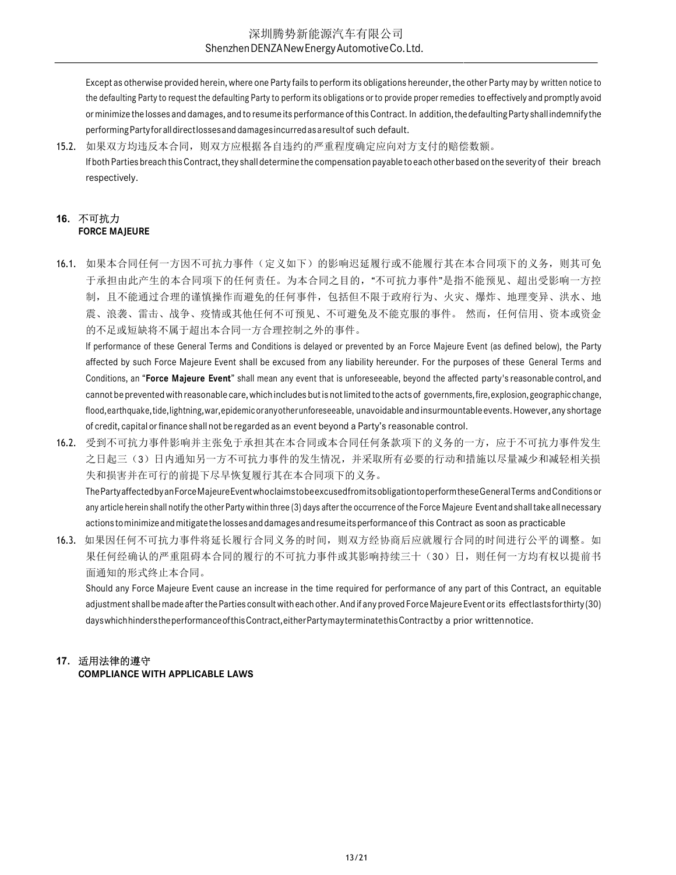Except as otherwise provided herein, where one Party fails to perform its obligations hereunder, the other Party may by written notice to the defaulting Party to request the defaulting Party to perform its obligations or to provide proper remedies to effectively and promptly avoid or minimize the losses and damages, and to resume its performance of this Contract. In addition, the defaulting Party shall indemnify the performing Party for all direct losses and damages incurred as a result of such default.

15.2. 如果双方均违反本合同,则双方应根据各自违约的严重程度确定应向对方支付的赔偿数额。 If both Parties breach this Contract, they shall determine the compensation payable to each other based on the severity of their breach respectively.

# 16. 不可抗力 FORCE MAJEURE

16.1. 如果本合同任何一方因不可抗力事件(定义如下)的影响迟延履行或不能履行其在本合同项下的义务,则其可免 于承担由此产生的本合同项下的任何责任。为本合同之目的,"不可抗力事件"是指不能预见、超出受影响一方控 制,且不能通过合理的谨慎操作而避免的任何事件,包括但不限于政府行为、火灾、爆炸、地理变异、洪水、地 震、浪袭、雷击、战争、疫情或其他任何不可预见、不可避免及不能克服的事件。 然而,任何信用、资本或资金 的不足或短缺将不属于超出本合同一方合理控制之外的事件。

If performance of these General Terms and Conditions is delayed or prevented by an Force Majeure Event (as defined below), the Party affected by such Force Majeure Event shall be excused from any liability hereunder. For the purposes of these General Terms and Conditions, an "Force Majeure Event" shall mean any event that is unforeseeable, beyond the affected party's reasonable control, and cannot be prevented with reasonable care, which includes but is not limited to the acts of governments, fire, explosion, geographic change, flood, earthquake, tide, lightning, war, epidemic or any other unforeseeable, unavoidable and insurmountable events. However, any shortage of credit, capital or finance shall not be regarded as an event beyond a Party's reasonable control.

- 16.2. 受到不可抗力事件影响并主张免于承担其在本合同或本合同任何条款项下的义务的一方,应于不可抗力事件发生 之日起三(3)日内通知另一方不可抗力事件的发生情况,并采取所有必要的行动和措施以尽量减少和减轻相关损 失和损害并在可行的前提下尽早恢复履行其在本合同项下的义务。 The Party affected by an Force Majeure Event who claims to be excused from its obligation to perform these General Terms and Conditions or any article herein shall notify the other Party within three (3) days after the occurrence of the Force Majeure Event and shall take all necessary
- 16.3. 如果因任何不可抗力事件将延长履行合同义务的时间,则双方经协商后应就履行合同的时间进行公平的调整。如 果任何经确认的严重阻碍本合同的履行的不可抗力事件或其影响持续三十(30)日,则任何一方均有权以提前书 面通知的形式终止本合同。

actions to minimize and mitigate the losses and damages and resume its performance of this Contract as soon as practicable

Should any Force Majeure Event cause an increase in the time required for performance of any part of this Contract, an equitable adjustment shall be made after the Parties consult with each other. And if any proved Force Majeure Event or its effect lasts for thirty (30) days which hinders the performance of this Contract, either Party may terminate this Contract by a prior written notice.

# 17. 适用法律的遵守

COMPLIANCE WITH APPLICABLE LAWS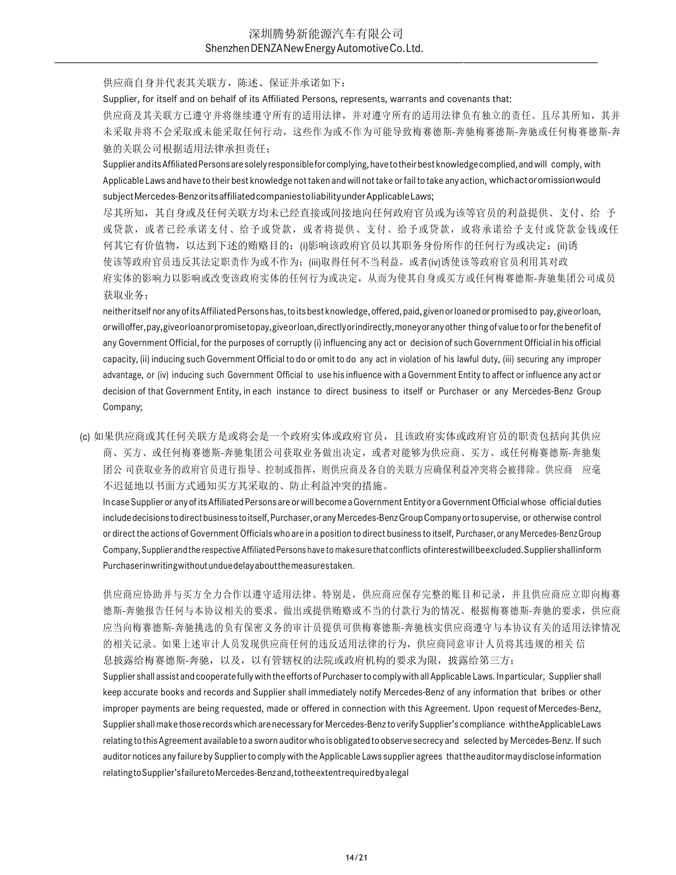供应商自身并代表其关联方,陈述、保证并承诺如下:

Supplier, for itself and on behalf of its Affiliated Persons, represents, warrants and covenants that:

供应商及其关联方已遵守并将继续遵守所有的适用法律,并对遵守所有的适用法律负有独立的责任。且尽其所知,其并 未采取并将不会采取或未能采取任何行动,这些作为或不作为可能导致梅赛德斯-奔驰梅赛德斯-奔驰或任何梅赛德斯-奔 驰的关联公司根据适用法律承担责任;

Supplier and its Affiliated Persons are solely responsible for complying, have to their best knowledge complied, and will comply, with Applicable Laws and have to their best knowledge not taken and will not take or fail to take any action, which act or omission would subject Mercedes-Benz or its affiliated companies to liability under Applicable Laws;

尽其所知,其自身或及任何关联方均未已经直接或间接地向任何政府官员或为该等官员的利益提供、支付、给 予 或贷款,或者已经承诺支付、给予或贷款,或者将提供、支付、给予或贷款,或将承诺给予支付或贷款金钱或任 何其它有价值物,以达到下述的贿赂目的: (i)影响该政府官员以其职务身份所作的任何行为或决定;(ii)诱 使该等政府官员违反其法定职责作为或不作为;(iii)取得任何不当利益,或者(iv)诱使该等政府官员利用其对政 府实体的影响力以影响或改变该政府实体的任何行为或决定,从而为使其自身或买方或任何梅赛德斯-奔驰集团公司成员 获取业务;

neither itself nor any of its Affiliated Persons has, to its best knowledge, offered, paid, given or loaned or promised to pay, give or loan, or will offer, pay, give or loan or promise to pay, give or loan, directly or indirectly, money or any other thing of value to or for the benefit of any Government Official, for the purposes of corruptly (i) influencing any act or decision of such Government Official in his official capacity, (ii) inducing such Government Official to do or omit to do any act in violation of his lawful duty, (iii) securing any improper advantage, or (iv) inducing such Government Official to use his influence with a Government Entity to affect or influence any act or decision of that Government Entity, in each instance to direct business to itself or Purchaser or any Mercedes-Benz Group Company;

(c) 如果供应商或其任何关联方是或将会是一个政府实体或政府官员,且该政府实体或政府官员的职责包括向其供应 商、买方、或任何梅赛德斯-奔驰集团公司获取业务做出决定,或者对能够为供应商、买方、或任何梅赛德斯-奔驰集 团公 司获取业务的政府官员进行指导、控制或指挥,则供应商及各自的关联方应确保利益冲突将会被排除。供应商 应毫 不迟延地以书面方式通知买方其采取的、防止利益冲突的措施。

In case Supplier or any of its Affiliated Persons are or will become a Government Entity or a Government Official whose official duties include decisions to direct business to itself, Purchaser, or any Mercedes-Benz Group Company or to supervise, or otherwise control or direct the actions of Government Officials who are in a position to direct business to itself, Purchaser, or any Mercedes-Benz Group Company, Supplier and the respective Affiliated Persons have to make sure that conflicts of interest will be excluded. Supplier shall inform Purchaser in writing without undue delay about the measures taken.

供应商应协助并与买方全力合作以遵守适用法律。特别是,供应商应保存完整的账目和记录,并且供应商应立即向梅赛 德斯-奔驰报告任何与本协议相关的要求、做出或提供贿赂或不当的付款行为的情况。根据梅赛德斯-奔驰的要求,供应商 应当向梅赛德斯-奔驰挑选的负有保密义务的审计员提供可供梅赛德斯-奔驰核实供应商遵守与本协议有关的适用法律情况 的相关记录。如果上述审计人员发现供应商任何的违反适用法律的行为,供应商同意审计人员将其违规的相关 信 息披露给梅赛德斯-奔驰,以及,以有管辖权的法院或政府机构的要求为限,披露给第三方;

Supplier shall assist and cooperate fully with the efforts of Purchaser to comply with all Applicable Laws. In particular, Supplier shall keep accurate books and records and Supplier shall immediately notify Mercedes-Benz of any information that bribes or other improper payments are being requested, made or offered in connection with this Agreement. Upon request of Mercedes-Benz, Supplier shall make those records which are necessary for Mercedes-Benz to verify Supplier's compliance with the Applicable Laws relating to this Agreement available to a sworn auditor who is obligated to observe secrecy and selected by Mercedes-Benz. If such auditor notices any failure by Supplier to comply with the Applicable Laws supplier agrees that the auditor may disclose information relating to Supplier's failure to Mercedes-Benz and, to the extent required by a legal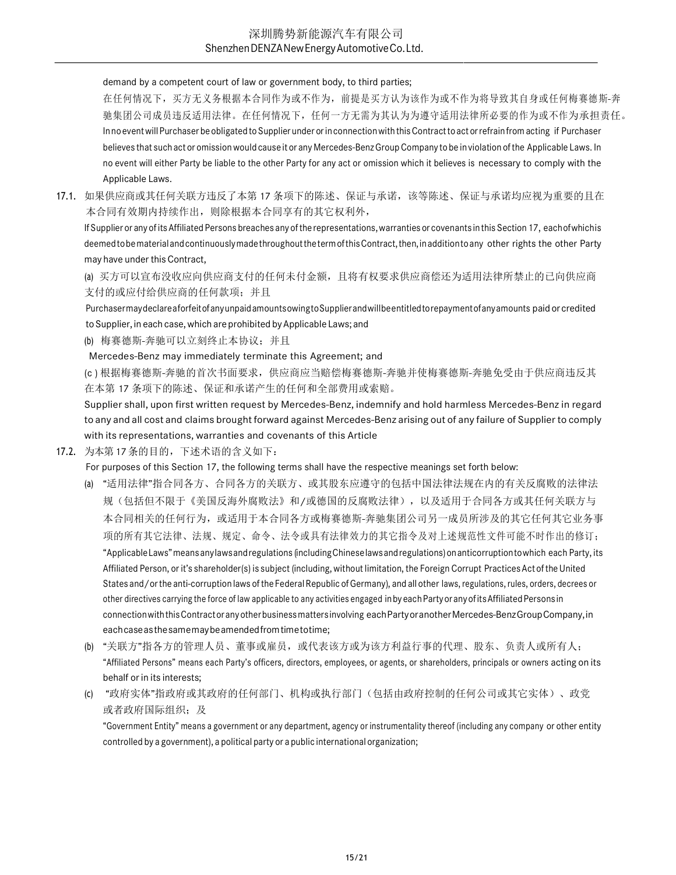demand by a competent court of law or government body, to third parties;

在任何情况下,买方无义务根据本合同作为或不作为,前提是买方认为该作为或不作为将导致其自身或任何梅赛德斯-奔 驰集团公司成员违反适用法律。在任何情况下,任何一方无需为其认为为遵守适用法律所必要的作为或不作为承担责任。 In no event will Purchaser be obligated to Supplier under or in connection with this Contract to act or refrain from acting if Purchaser believes that such act or omission would cause it or any Mercedes-Benz Group Company to be in violation of the Applicable Laws. In no event will either Party be liable to the other Party for any act or omission which it believes is necessary to comply with the Applicable Laws.

17.1. 如果供应商或其任何关联方违反了本第 17 条项下的陈述、保证与承诺,该等陈述、保证与承诺均应视为重要的且在 本合同有效期内持续作出,则除根据本合同享有的其它权利外,

If Supplier or any of its Affiliated Persons breaches any of the representations, warranties or covenants in this Section 17, each of which is deemed to be material and continuously made throughout the term of this Contract, then, in addition to any other rights the other Party may have under this Contract,

(a) 买方可以宣布没收应向供应商支付的任何未付金额,且将有权要求供应商偿还为适用法律所禁止的已向供应商 支付的或应付给供应商的任何款项;并且

Purchaser may declare a forfeit of any unpaid amounts owing to Supplier and will beentitled to repayment of any amounts paid or credited to Supplier, in each case, which are prohibited by Applicable Laws; and

(b) 梅赛德斯-奔驰可以立刻终止本协议;并且

Mercedes-Benz may immediately terminate this Agreement; and

(c ) 根据梅赛德斯-奔驰的首次书面要求,供应商应当赔偿梅赛德斯-奔驰并使梅赛德斯-奔驰免受由于供应商违反其 在本第 17 条项下的陈述、保证和承诺产生的任何和全部费用或索赔。

Supplier shall, upon first written request by Mercedes-Benz, indemnify and hold harmless Mercedes-Benz in regard to any and all cost and claims brought forward against Mercedes-Benz arising out of any failure of Supplier to comply with its representations, warranties and covenants of this Article

17.2. 为本第 17 条的目的,下述术语的含义如下:

For purposes of this Section 17, the following terms shall have the respective meanings set forth below:

- (a) "适用法律"指合同各方、合同各方的关联方、或其股东应遵守的包括中国法律法规在内的有关反腐败的法律法 规(包括但不限于《美国反海外腐败法》和/或德国的反腐败法律),以及适用于合同各方或其任何关联方与 本合同相关的任何行为,或适用于本合同各方或梅赛德斯-奔驰集团公司另一成员所涉及的其它任何其它业务事 项的所有其它法律、法规、规定、命令、法令或具有法律效力的其它指令及对上述规范性文件可能不时作出的修订; "Applicable Laws" means any laws and regulations (including Chinese laws and regulations) on anticorruption to which each Party, its Affiliated Person, or it's shareholder(s) is subject (including, without limitation, the Foreign Corrupt Practices Act of the United States and/or the anti-corruption laws of the Federal Republic of Germany), and all other laws, regulations, rules, orders, decrees or other directives carrying the force of law applicable to any activities engaged in by each Party or any of its Affiliated Persons in connection with this Contract or any other business matters involving each Party or another Mercedes-Benz Group Company, in each case as the same may be amended from time to time;
- (b) "关联方"指各方的管理人员、董事或雇员,或代表该方或为该方利益行事的代理、股东、负责人或所有人; "Affiliated Persons" means each Party's officers, directors, employees, or agents, or shareholders, principals or owners acting on its behalf or in its interests;
- (c) "政府实体"指政府或其政府的任何部门、机构或执行部门(包括由政府控制的任何公司或其它实体)、政党 或者政府国际组织;及

"Government Entity" means a government or any department, agency or instrumentality thereof (including any company or other entity controlled by a government), a political party or a public international organization;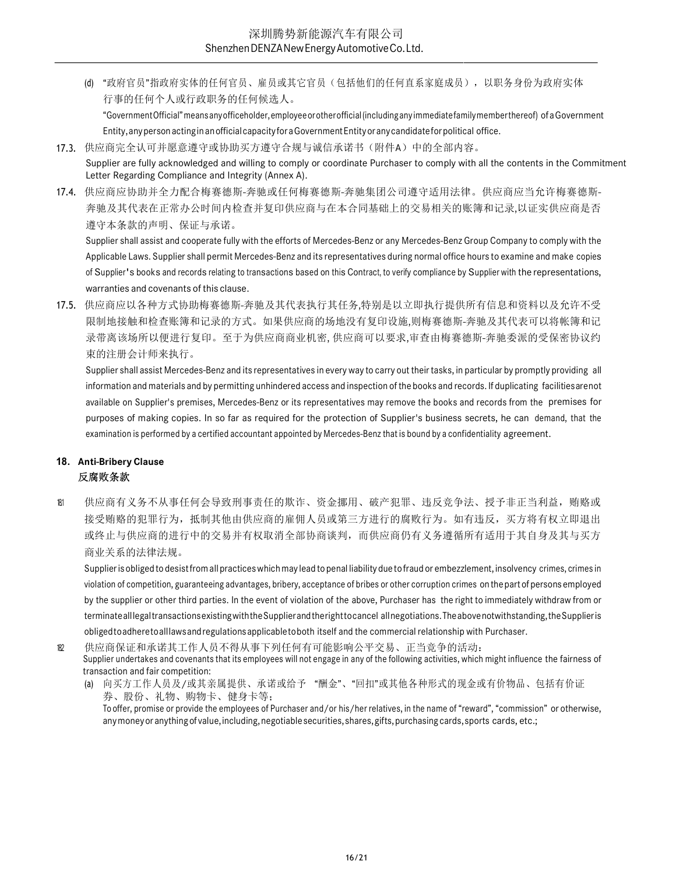(d) "政府官员"指政府实体的任何官员、雇员或其它官员(包括他们的任何直系家庭成员),以职务身份为政府实体 行事的任何个人或行政职务的任何候选人。

"Government Official" means any officeholder, employee or other official (including any immediate family member thereof) of a Government Entity, any person acting in an official capacity for a Government Entity or any candidate for political office.

- 17.3. 供应商完全认可并愿意遵守或协助买方遵守合规与诚信承诺书(附件A)中的全部内容。 Supplier are fully acknowledged and willing to comply or coordinate Purchaser to comply with all the contents in the Commitment Letter Regarding Compliance and Integrity (Annex A).
- 17.4. 供应商应协助并全力配合梅赛德斯-奔驰或任何梅赛德斯-奔驰集团公司遵守适用法律。供应商应当允许梅赛德斯-奔驰及其代表在正常办公时间内检查并复印供应商与在本合同基础上的交易相关的账簿和记录,以证实供应商是否 遵守本条款的声明、保证与承诺。

Supplier shall assist and cooperate fully with the efforts of Mercedes-Benz or any Mercedes-Benz Group Company to comply with the Applicable Laws. Supplier shall permit Mercedes-Benz and its representatives during normal office hours to examine and make copies of Supplier's books and records relating to transactions based on this Contract, to verify compliance by Supplier with the representations, warranties and covenants of this clause.

17.5. 供应商应以各种方式协助梅赛德斯-奔驰及其代表执行其任务,特别是以立即执行提供所有信息和资料以及允许不受 限制地接触和检查账簿和记录的方式。如果供应商的场地没有复印设施,则梅赛德斯-奔驰及其代表可以将帐簿和记 录带离该场所以便进行复印。至于为供应商商业机密, 供应商可以要求,审查由梅赛德斯-奔驰委派的受保密协议约 束的注册会计师来执行。

Supplier shall assist Mercedes-Benz and its representatives in every way to carry out their tasks, in particular by promptly providing all information and materials and by permitting unhindered access and inspection of the books and records. If duplicating facilities are not available on Supplier's premises, Mercedes-Benz or its representatives may remove the books and records from the premises for purposes of making copies. In so far as required for the protection of Supplier's business secrets, he can demand, that the examination is performed by a certified accountant appointed by Mercedes-Benz that is bound by a confidentiality agreement.

# 18. Anti-Bribery Clause 反腐败条款

18.1 供应商有义务不从事任何会导致刑事责任的欺诈、资金挪用、破产犯罪、违反竞争法、授予非正当利益,贿赂或 接受贿赂的犯罪行为,抵制其他由供应商的雇佣人员或第三方进行的腐败行为。如有违反,买方将有权立即退出 或终止与供应商的进行中的交易并有权取消全部协商谈判,而供应商仍有义务遵循所有适用于其自身及其与买方 商业关系的法律法规。

Supplier is obliged to desist from all practices which may lead to penal liability due to fraud or embezzlement, insolvency crimes, crimes in violation of competition, guaranteeing advantages, bribery, acceptance of bribes or other corruption crimes on the part of persons employed by the supplier or other third parties. In the event of violation of the above, Purchaser has the right to immediately withdraw from or terminate all legal transactions existing with the Supplier and the right to cancel all negotiations. The above notwithstanding, the Supplier is obliged to adhere to all laws and regulations applicable to both itself and the commercial relationship with Purchaser.

18.2 供应商保证和承诺其工作人员不得从事下列任何有可能影响公平交易、正当竞争的活动: Supplier undertakes and covenants that its employees will not engage in any of the following activities, which might influence the fairness of transaction and fair competition:

(a) 向买方工作人员及/或其亲属提供、承诺或给予 "酬金"、"回扣"或其他各种形式的现金或有价物品、包括有价证 券、股份、礼物、购物卡、健身卡等; To offer, promise or provide the employees of Purchaser and/or his/her relatives, in the name of "reward", "commission" or otherwise, any money or anything of value, including, negotiable securities, shares, gifts, purchasing cards, sports cards, etc.;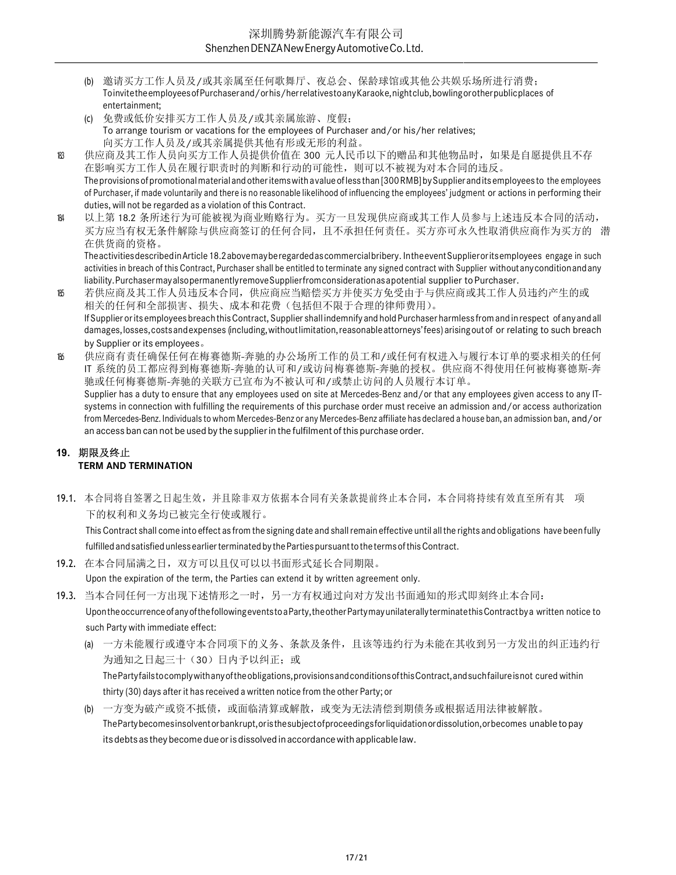- (b) 邀请买方工作人员及/或其亲属至任何歌舞厅、夜总会、保龄球馆或其他公共娱乐场所进行消费; To invite the employees of Purchaser and/or his/her relatives to any Karaoke, night club, bowling or other public places of entertainment;
- (c) 免费或低价安排买方工作人员及/或其亲属旅游、度假; To arrange tourism or vacations for the employees of Purchaser and/or his/her relatives; 向买方工作人员及/或其亲属提供其他有形或无形的利益。
- 18.3 供应商及其工作人员向买方工作人员提供价值在 300 元人民币以下的赠品和其他物品时,如果是自愿提供且不存 在影响买方工作人员在履行职责时的判断和行动的可能性,则可以不被视为对本合同的违反。 The provisions of promotional material and other items with a value of less than [300 RMB] by Supplier and its employees to the employees of Purchaser, if made voluntarily and there is no reasonable likelihood of influencing the employees' judgment or actions in performing their duties, will not be regarded as a violation of this Contract.
- 18.4 以上第 18.2 条所述行为可能被视为商业贿赂行为。买方一旦发现供应商或其工作人员参与上述违反本合同的活动, 买方应当有权无条件解除与供应商签订的任何合同,且不承担任何责任。买方亦可永久性取消供应商作为买方的 潜 在供货商的资格。

The activities described in Article 18.2 above may be regarded as commercial bribery. In the event Supplier or its employees engage in such activities in breach of this Contract, Purchaser shall be entitled to terminate any signed contract with Supplier without any condition and any liability. Purchaser may also permanently remove Supplier from consideration as a potential supplier to Purchaser.

- 18.5 若供应商及其工作人员违反本合同,供应商应当赔偿买方并使买方免受由于与供应商或其工作人员违约产生的或 相关的任何和全部损害、损失、成本和花费(包括但不限于合理的律师费用)。 If Supplier or its employees breach this Contract, Supplier shall indemnify and hold Purchaser harmless from and in respect of any and all damages, losses, costs and expenses (including, without limitation, reasonable attorneys' fees) arising out of or relating to such breach by Supplier or its employees。
- 18.6 供应商有责任确保任何在梅赛德斯-奔驰的办公场所工作的员工和/或任何有权进入与履行本订单的要求相关的任何 IT 系统的员工都应得到梅赛德斯-奔驰的认可和/或访问梅赛德斯-奔驰的授权。供应商不得使用任何被梅赛德斯-奔 驰或任何梅赛德斯-奔驰的关联方已宣布为不被认可和/或禁止访问的人员履行本订单。 Supplier has a duty to ensure that any employees used on site at Mercedes-Benz and/or that any employees given access to any ITsystems in connection with fulfilling the requirements of this purchase order must receive an admission and/or access authorization from Mercedes-Benz. Individuals to whom Mercedes-Benz or any Mercedes-Benz affiliate has declared a house ban, an admission ban, and/or an access ban can not be used by the supplier in the fulfilment of this purchase order.

# 19. 期限及终止 TERM AND TERMINATION

19.1. 本合同将自签署之日起生效,并且除非双方依据本合同有关条款提前终止本合同,本合同将持续有效直至所有其 项 下的权利和义务均已被完全行使或履行。

This Contract shall come into effect as from the signing date and shall remain effective until all the rights and obligations have been fully fulfilled and satisfied unless earlier terminated by the Parties pursuant to the terms of this Contract.

19.2. 在本合同届满之日,双方可以且仅可以以书面形式延长合同期限。

Upon the expiration of the term, the Parties can extend it by written agreement only.

- 19.3. 当本合同任何一方出现下述情形之一时,另一方有权通过向对方发出书面通知的形式即刻终止本合同: Upon the occurrence of any of the following events to a Party, the other Party may unilaterally terminate this Contract by a written notice to such Party with immediate effect:
	- (a) 一方未能履行或遵守本合同项下的义务、条款及条件,且该等违约行为未能在其收到另一方发出的纠正违约行 为通知之日起三十(30)日内予以纠正;或

The Party fails to comply with any of the obligations, provisions and conditions of this Contract, and such failure is not cured within thirty (30) days after it has received a written notice from the other Party; or

(b) 一方变为破产或资不抵债,或面临清算或解散,或变为无法清偿到期债务或根据适用法律被解散。 The Party becomes insolvent or bankrupt, or is the subject of proceedings for liquidation or dissolution, or becomes unable to pay its debts as they become due or is dissolved in accordance with applicable law.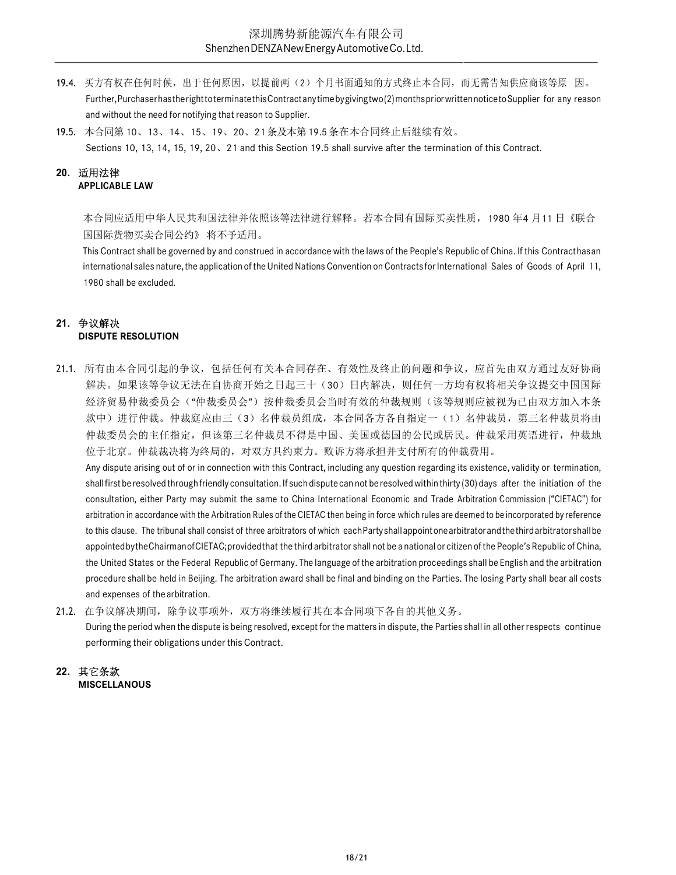- 19.4. 买方有权在任何时候,出于任何原因,以提前两(2)个月书面通知的方式终止本合同,而无需告知供应商该等原 因。 Further, Purchaser has the right to terminate this Contract any time by giving two (2) months prior written notice to Supplier for any reason and without the need for notifying that reason to Supplier.
- 19.5. 本合同第 10、13、14、15、19、20、21 条及本第 19.5 条在本合同终止后继续有效。 Sections 10, 13, 14, 15, 19, 20、21 and this Section 19.5 shall survive after the termination of this Contract.

# 20. 适用法律 APPLICABLE LAW

本合同应适用中华人民共和国法律并依照该等法律进行解释。若本合同有国际买卖性质,1980 年4 月11 日《联合 国国际货物买卖合同公约》 将不予适用。

This Contract shall be governed by and construed in accordance with the laws of the People's Republic of China. If this Contract has an international sales nature, the application of the United Nations Convention on Contracts for International Sales of Goods of April 11, 1980 shall be excluded.

# 21. 争议解决 DISPUTE RESOLUTION

21.1. 所有由本合同引起的争议,包括任何有关本合同存在、有效性及终止的问题和争议,应首先由双方通过友好协商 解决。如果该等争议无法在自协商开始之日起三十(30)日内解决,则任何一方均有权将相关争议提交中国国际 经济贸易仲裁委员会("仲裁委员会")按仲裁委员会当时有效的仲裁规则(该等规则应被视为已由双方加入本条 款中)进行仲裁。仲裁庭应由三(3)名仲裁员组成,本合同各方各自指定一(1)名仲裁员,第三名仲裁员将由 仲裁委员会的主任指定,但该第三名仲裁员不得是中国、美国或德国的公民或居民。仲裁采用英语进行,仲裁地 位于北京。仲裁裁决将为终局的,对双方具约束力。败诉方将承担并支付所有的仲裁费用。

Any dispute arising out of or in connection with this Contract, including any question regarding its existence, validity or termination, shall first be resolved through friendly consultation. If such dispute can not be resolved within thirty (30) days after the initiation of the consultation, either Party may submit the same to China International Economic and Trade Arbitration Commission ("CIETAC") for arbitration in accordance with the Arbitration Rules of the CIETAC then being in force which rules are deemed to be incorporated by reference to this clause. The tribunal shall consist of three arbitrators of which each Party shall appoint one arbitrator and the third arbitrator shall be appointed by the Chairman of CIETAC; provided that the third arbitrator shall not be a national or citizen of the People's Republic of China, the United States or the Federal Republic of Germany. The language of the arbitration proceedings shall be English and the arbitration procedure shall be held in Beijing. The arbitration award shall be final and binding on the Parties. The losing Party shall bear all costs and expenses of the arbitration.

21.2. 在争议解决期间,除争议事项外,双方将继续履行其在本合同项下各自的其他义务。 During the period when the dispute is being resolved, except for the matters in dispute, the Parties shall in all other respects continue performing their obligations under this Contract.

#### 22. 其它条款 **MISCELLANOUS**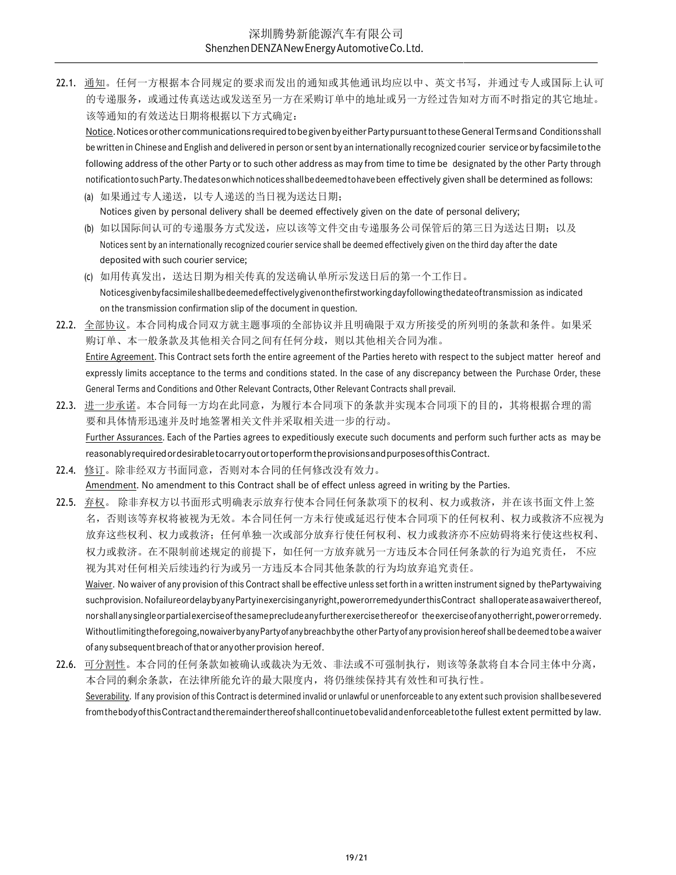22.1. 通知。任何一方根据本合同规定的要求而发出的通知或其他通讯均应以中、英文书写,并通过专人或国际上认可 的专递服务,或通过传真送达或发送至另一方在采购订单中的地址或另一方经过告知对方而不时指定的其它地址。 该等通知的有效送达日期将根据以下方式确定:

Notice. Notices or other communications required to be given by either Party pursuant to these General Terms and Conditions shall be written in Chinese and English and delivered in person or sent by an internationally recognized courier service or by facsimile to the following address of the other Party or to such other address as may from time to time be designated by the other Party through notification to such Party. The dates on which notices shall be deemed to have been effectively given shall be determined as follows:

- (a) 如果通过专人递送,以专人递送的当日视为送达日期; Notices given by personal delivery shall be deemed effectively given on the date of personal delivery;
- (b) 如以国际间认可的专递服务方式发送,应以该等文件交由专递服务公司保管后的第三日为送达日期; 以及 Notices sent by an internationally recognized courier service shall be deemed effectively given on the third day after the date deposited with such courier service;
- (c) 如用传真发出,送达日期为相关传真的发送确认单所示发送日后的第一个工作日。 Notices given by facsimile shall be deemed effectively given on the first working day following the date of transmission as indicated on the transmission confirmation slip of the document in question.
- 22.2. 全部协议。本合同构成合同双方就主题事项的全部协议并且明确限于双方所接受的所列明的条款和条件。如果采 购订单、本一般条款及其他相关合同之间有任何分歧,则以其他相关合同为准。 Entire Agreement. This Contract sets forth the entire agreement of the Parties hereto with respect to the subject matter hereof and expressly limits acceptance to the terms and conditions stated. In the case of any discrepancy between the Purchase Order, these General Terms and Conditions and Other Relevant Contracts, Other Relevant Contracts shall prevail.
- 22.3. 进一步承诺。本合同每一方均在此同意,为履行本合同项下的条款并实现本合同项下的目的,其将根据合理的需 要和具体情形迅速并及时地签署相关文件并采取相关进一步的行动。 Further Assurances. Each of the Parties agrees to expeditiously execute such documents and perform such further acts as may be reasonably required or desirable to carry out or to perform the provisions and purposes of this Contract.
- 22.4. 修订。除非经双方书面同意,否则对本合同的任何修改没有效力。 Amendment. No amendment to this Contract shall be of effect unless agreed in writing by the Parties.
- 22.5. 弃权。 除非弃权方以书面形式明确表示放弃行使本合同任何条款项下的权利、权力或救济,并在该书面文件上签 名,否则该等弃权将被视为无效。本合同任何一方未行使或延迟行使本合同项下的任何权利、权力或救济不应视为 放弃这些权利、权力或救济;任何单独一次或部分放弃行使任何权利、权力或救济亦不应妨碍将来行使这些权利、 权力或救济。在不限制前述规定的前提下,如任何一方放弃就另一方违反本合同任何条款的行为追究责任, 不应 视为其对任何相关后续违约行为或另一方违反本合同其他条款的行为均放弃追究责任。 Waiver. No waiver of any provision of this Contract shall be effective unless set forth in a written instrument signed by the Party waiving such provision. No failure or delay by any Party in exercising any right, power or remedy under this Contract shall operate as a waiver thereof, nor shall any single or partial exercise of the same preclude any further exercise thereof or the exercise of any other right, power or remedy. Without limiting the foregoing, nowaiver by any Party of any breach by the other Party of any provision hereof shall be deemed to be a waiver of any subsequent breach of that or any other provision hereof.
- 22.6. 可分割性。本合同的任何条款如被确认或裁决为无效、非法或不可强制执行,则该等条款将自本合同主体中分离, 本合同的剩余条款,在法律所能允许的最大限度内,将仍继续保持其有效性和可执行性。 Severability. If any provision of this Contract is determined invalid or unlawful or unenforceable to any extent such provision shall be severed from the body of this Contract and the remainder thereof shall continue to be valid and enforceable to the fullest extent permitted by law.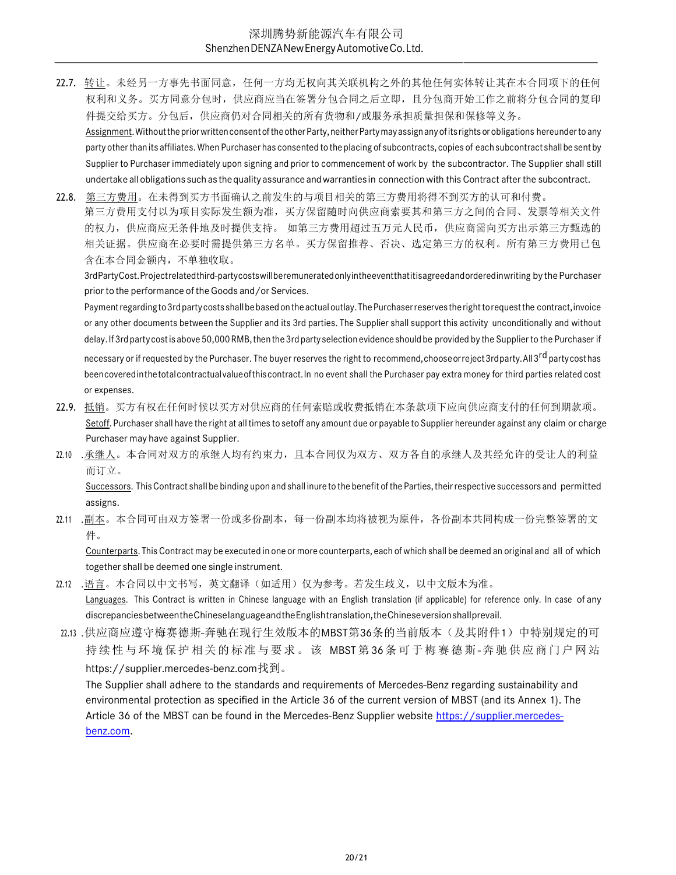22.7. 转让。未经另一方事先书面同意,任何一方均无权向其关联机构之外的其他任何实体转让其在本合同项下的任何 权利和义务。买方同意分包时,供应商应当在签署分包合同之后立即,且分包商开始工作之前将分包合同的复印 件提交给买方。分包后,供应商仍对合同相关的所有货物和/或服务承担质量担保和保修等义务。

Assignment. Without the prior written consent of the other Party, neither Party may assign any of its rights or obligations hereunder to any party other than its affiliates. When Purchaser has consented to the placing of subcontracts, copies of each subcontract shall be sent by Supplier to Purchaser immediately upon signing and prior to commencement of work by the subcontractor. The Supplier shall still undertake all obligations such as the quality assurance and warranties in connection with this Contract after the subcontract.

22.8. 第三方费用。在未得到买方书面确认之前发生的与项目相关的第三方费用将得不到买方的认可和付费。 第三方费用支付以为项目实际发生额为准,买方保留随时向供应商索要其和第三方之间的合同、发票等相关文件 的权力,供应商应无条件地及时提供支持。 如第三方费用超过五万元人民币,供应商需向买方出示第三方甄选的 相关证据。供应商在必要时需提供第三方名单。买方保留推荐、否决、选定第三方的权利。所有第三方费用已包 含在本合同金额内,不单独收取。

3rd Party Cost. Project related third-party costs will be remunerated only in the event that it is agreed and ordered in writing by the Purchaser prior to the performance of the Goods and/or Services.

Payment regarding to 3rd party costs shall be based on the actual outlay. The Purchaser reserves the right to request the contract, invoice or any other documents between the Supplier and its 3rd parties. The Supplier shall support this activity unconditionally and without delay. If 3rd party cost is above 50,000 RMB, then the 3rd party selection evidence should be provided by the Supplier to the Purchaser if necessary or if requested by the Purchaser. The buyer reserves the right to recommend, choose or reject 3rd party. All 3rd party cost has been covered in the total contractual value of this contract. In no event shall the Purchaser pay extra money for third parties related cost or expenses.

- 22.9. 抵销。买方有权在任何时候以买方对供应商的任何索赔或收费抵销在本条款项下应向供应商支付的任何到期款项。 Setoff. Purchaser shall have the right at all times to setoff any amount due or payable to Supplier hereunder against any claim or charge Purchaser may have against Supplier.
- 22.10 .承继人。本合同对双方的承继人均有约束力,且本合同仅为双方、双方各自的承继人及其经允许的受让人的利益 而订立。

Successors. This Contract shall be binding upon and shall inure to the benefit of the Parties, their respective successors and permitted assigns.

22.11 .副本。本合同可由双方签署一份或多份副本,每一份副本均将被视为原件,各份副本共同构成一份完整签署的文 件。

Counterparts. This Contract may be executed in one or more counterparts, each of which shall be deemed an original and all of which together shall be deemed one single instrument.

22.12 .语言。本合同以中文书写,英文翻译(如适用)仅为参考。若发生歧义,以中文版本为准。

Languages. This Contract is written in Chinese language with an English translation (if applicable) for reference only. In case of any discrepancies between the Chinese language and the English translation, the Chinese version shall prevail.

22.13 .供应商应遵守梅赛德斯-奔驰在现行生效版本的MBST第36条的当前版本(及其附件1)中特别规定的可 持续性与环境保护相关的标准与要求。该 MBST 第36条可于梅赛德斯-奔驰供应商门户 网站 https://supplier.mercedes-benz.com找到。

The Supplier shall adhere to the standards and requirements of Mercedes-Benz regarding sustainability and environmental protection as specified in the Article 36 of the current version of MBST (and its Annex 1). The Article 36 of the MBST can be found in the Mercedes-Benz Supplier website https://supplier.mercedesbenz.com.